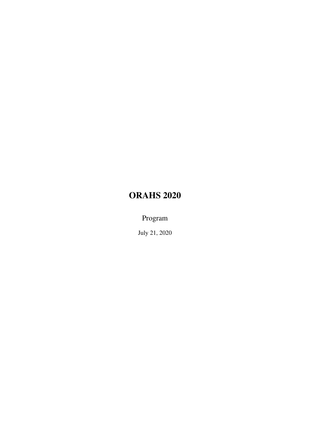# ORAHS 2020

Program

July 21, 2020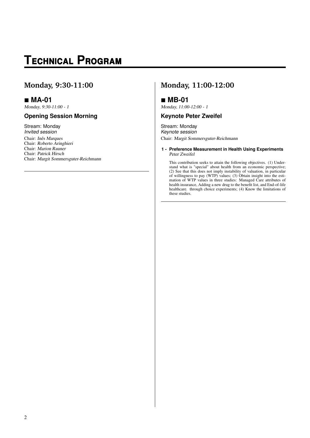# **T**echnical **P**rogram

### **Monday, 9:30-11:00**

### **MA-01**

Monday, 9:30-11:00 - 1

### **Opening Session Morning**

Stream: Monday Invited session Chair: Inês Marques Chair: Roberto Aringhieri Chair: Marion Rauner Chair: Patrick Hirsch Chair: Margit Sommersguter-Reichmann

## **Monday, 11:00-12:00**

### **MB-01**

Monday, 11:00-12:00 - 1

### **Keynote Peter Zweifel**

Stream: Monday Keynote session Chair: Margit Sommersguter-Reichmann

**1 - Preference Measurement in Health Using Experiments** Peter Zweifel

This contribution seeks to attain the following objectives. (1) Understand what is "special" about health from an economic perspective; (2) See that this does not imply instability of valuation, in particular of willingness to pay (WTP) values; (3) Obtain insight into the estimation of WTP values in three studies: Managed Care attributes of health insurance, Adding a new drug to the benefit list, and End-of-life healthcare. through choice experiments; (4) Know the limitations of these studies.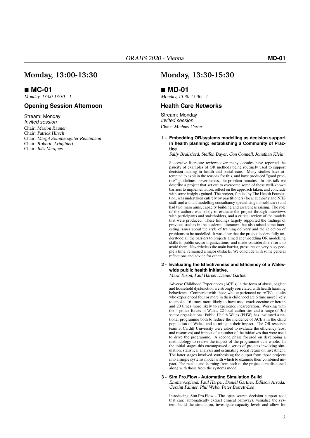### **MC-01**

Monday, 13:00-13:30 - 1

#### **Opening Session Afternoon**

Stream: Monday Invited session Chair: Marion Rauner Chair: Patrick Hirsch Chair: Margit Sommersguter-Reichmann Chair: Roberto Aringhieri Chair: Inês Marques

### **Monday, 13:30-15:30**

### **MD-01**

Monday, 13:30-15:30 - 1

#### **Health Care Networks**

Stream: Monday Invited session Chair: Michael Carter

#### **1 - Embedding OR/systems modelling as decision support in health planning: establishing a Community of Practice**

Sally Brailsford, Steffen Bayer, Con Connell, Jonathan Klein

Successive literature reviews over many decades have reported the paucity of examples of OR methods being routinely used to support decision-making in health and social care. Many studies have attempted to explain the reasons for this, and have produced "good practice" guidelines; nevertheless, the problem remains. In this talk we describe a project that set out to overcome some of these well-known barriers to implementation, reflect on the approach taken, and conclude with some insights gained. The project, funded by The Health Foundation, was undertaken entirely by practitioners (local authority and NHS staff, and a small modelling consultancy specialising in healthcare) and had two main aims, capacity building and awareness raising. The role of the authors was solely to evaluate the project through interviews with participants and stakeholders, and a critical review of the models that were produced. These findings largely supported the findings of previous studies in the academic literature, but also raised some interesting issues about the style of training delivery and the selection of problems to be modelled. It was clear that the project leaders fully understood all the barriers to projects aimed at embedding OR modelling skills in public sector organizations, and made considerable efforts to avoid them. Nevertheless the main barrier, pressures on very busy people's time, remained a major obstacle. We conclude with some general reflections and advice for others.

#### **2 - Evaluating the Effectiveness and Efficiency of a Waleswide public health initiative.** Mark Tuson, Paul Harper, Daniel Gartner

Adverse Childhood Experiences (ACE's) in the form of abuse, neglect and household dysfunction are strongly correlated with health harming behaviours. Compared with those who experienced no ACE's, adults who experienced four or more in their childhood are 6 time more likely to smoke, 16 times more likely to have used crack cocaine or heroin and 20 times more likely to experience incarceration. Working with the 4 police forces in Wales, 22 local authorities and a range of 3rd sector organisations, Public Health Wales (PHW) has instituted a national programme both to reduce the incidence of ACE's in the child population of Wales, and to mitigate their impact. The OR research team at Cardiff University were asked to evaluate the efficiency (cost and resources) and impact of a number of the initiatives that were used to drive the programme. A second phase focused on developing a methodology to review the impact of the programme as a whole. In the initial stages this encompassed a series of projects involving simulation, statistical analysis and estimating social return on investment. The latter stages involved synthesising the output from those projects into a single systems model with which to examine their combined impact. The results and learning from each of the projects are discussed along with those from the systems model.

#### **3 - Sim.Pro.Flow - Automating Simulation Build**

Emma Aspland, Paul Harper, Daniel Gartner, Edilson Arruda, Geraint Palmer, Phil Webb, Peter Barrett-Lee

Introducing Sim.Pro.Flow - The open source decision support tool that can: automatically extract clinical pathways, visualise the system, build the simulation, investigate capacity levels and allow for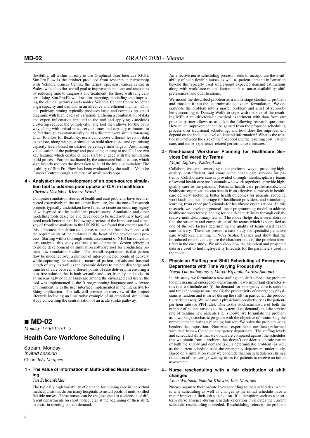flexibility, all within an easy to use Graphical User Interface (GUI). Sim.Pro.Flow is the product produced from research in partnership with Velindre Cancer Centre, the largest specialist cancer centre in Wales, which has the overall goal to improve patient care and outcomes by reducing time to diagnosis and treatment, for those with lung cancer. Using Sim.Pro.Flow allows for mapping, modelling and improving the clinical pathway and enables Velindre Cancer Centre to better align capacity and demand in an effective and efficient manner. Clinical pathway mining typically produces large and complex spaghetti diagrams with high levels of variation. Utilising a combination of data and expert information inputted to the tool and applying k-medoids clustering reduces the complexity. The tool then allows for the pathway, along with arrival rates, service times and capacity estimates, to be fed through to automatically build a discrete event simulation using Ciw. To allow for flexibility, users can choose different levels of data to explore, along with post simulation build alterations, and optimising capacity levels based on desired percentage time targets. Automating visualisation of the pathway and producing an easy to use GUI are two key features which enable clinical staff to engage with the simulation build process. Further facilitated by the automated build feature, which significantly reduces the time taken to build the initial simulation. The usability of Sim.Pro.Flow has been evaluated by the staff at Velindre Cancer Centre through a number of small workshops.

#### **4 - Analyst-driven development of an open-source simulation tool to address poor uptake of O.R. in healthcare** Christos Vasilakis, Richard Wood

Computer simulation studies of health and care problems have been reported extensively in the academic literature, but the one-off research projects typically undertaken have failed to create an enduring legacy of widespread use by healthcare practitioners. Simulation and other modelling tools designed and developed to be used routinely have not fared much better either. Following a review of the literature and a survey of frontline analysts in the UK NHS, we found that one reason for this is because simulation tools have, to date, not been developed with the requirements of the end-user in the heart of the development process. Starting with a thorough needs assessment of NHS based healthcare analysts, this study outlines a set of practical design principles to guide development of simulation software tool for conducting patient flow simulation studies. The overall requirement is that patient flow be modelled over a number of inter-connected points of delivery while capturing the stochastic nature of patient arrivals and hospital length of stay, as well as the dynamic delays to patient discharge and transfer of care between different points of care delivery. In ensuring a cost-free solution that is both versatile and user-friendly, and coded in an increasingly popular language among the envisaged end users, the tool was implemented is the R programming language and software environment, with the user interface implemented in the interactive R-Shiny application. The talk will provide an overview of the project lifecycle including an illustrative example of an empirical simulation study concerning the centralisation of an acute stroke pathway.

### **MD-02**

Monday, 13:30-15:30 - 2

### **Health Care Workforce Scheduling I**

Stream: Monday Invited session Chair: Inês Marques

#### **1 - The Value of Information in Multi-Skilled Nurse Scheduling**

Jan Schoenfelder

The typically high variability of demand for nursing care in individual medical units has driven many hospitals to install pools of multi-skilled flexible nurses. These nurses can be (re-)assigned to a selection of different departments on short notice, e.g. at the beginning of their shift, to assist in meeting patient demand.

An effective nurse scheduling process needs to incorporate the availability of such flexible nurses as well as patient demand information beyond the typically used single-point expected demand estimations along with workforce-related factors such as nurse availability, shift preferences, and qualifications.

We model the described problem as a multi-stage stochastic problem and translate it into the deterministic equivalent formulation. We decompose the problem into a master problem and a set of subproblems according to Dantzig-Wolfe to cope with the size of the resulting MIP. A multifactorial numerical experiment with data from our practice partner allows us to tackle the following research questions: How much improvement can be gained from the proposed scheduling process over traditional scheduling, and how does the improvement depend on the included level of demand information? What is the relationship between the size of the float pool and the resulting cost, patient care, and nurse-experience-related performance measures?

#### **2 - Need-based Workforce Planning for Healthcare Services Delivered by Teams**

Majid Taghavi, Nader Azad

Collaborative care is emerging as the preferred way of providing highquality, cost-efficient, and coordinated health care services for patients. Collaborative care is provided through interdisciplinary teams of several health care professionals who work together to provide highquality care to the patients. Patients, health care professionals, and healthcare organizations can benefit from effective teamwork in healthcare delivery, including better health outcomes for patients, reducing workloads and staff shortage for healthcare providers, and stimulating learning from other professionals for healthcare organizations. In this research, we develop a general linear programming model to address healthcare workforce planning for health care delivery through collaborative multidisciplinary teams. The model helps decision-makers to find the structure and composition of the teams which is identified as one of the key factors determining the quality of team-based health care delivery. Then, we present a case study for specialist palliative care workforce planning in Nova Scotia, Canada and show that the introduced model can capture the characteristics of the problem identified in the case study. We also show how the historical and projected data are used to find high-quality forecasts for the parameters used in the model.

#### **3 - Physician Staffing and Shift Scheduling at Emergency Departments with Time Varying Productivity**

Negar Ganjouhaghighi, Marco Bijvank, Alireza Sabouri

In this study, we formulate a new staffing and shift scheduling problem for physicians at emergency departments. Two important characteristics that we include are (i) the demand for emergency care is random and time inhomogeneous, and (ii) the productivity of emergency physicians is random and it varies during the shift (in particular, the productivity decreases). We measure a physician's productivity as the patientper-hour rate (or PPH rate). Due to the stochastic nature of both the number of patient arrivals to the system (i.e., demand) and the service rate of treating new patients (i.e., supply), we formulate the problem as a two-stage stochastic program with the objective of minimizing the unmet demand during a planning horizon. We solve the problem using benders decomposition. Numerical experiments are then performed with data from a Canadian emergency department. The staffing levels and scheduled shifts that we obtain are compared against the schedules that we obtain from a problem that doesn't consider stochastic nature of both the supply and demand (i.e., a deterministic problem) as well as the current schedule used the emergency department under study. Based on a simulation study we conclude that our schedule results in a reduction of the average waiting times for patients to receive an initial assessment.

#### **4 - Nurse rescheduling with a fair distribution of shift changes**

#### Lena Wolbeck, Natalia Kliewer, Inês Marques

Nurses organize their private lives according to their schedules, which is why scheduling as well as changes to the initial schedule have a major impact on their job satisfaction. If a disruption such as a shortterm nurse absence during schedule operation invalidates the current schedule, rescheduling is needed. Rescheduling refers to the problem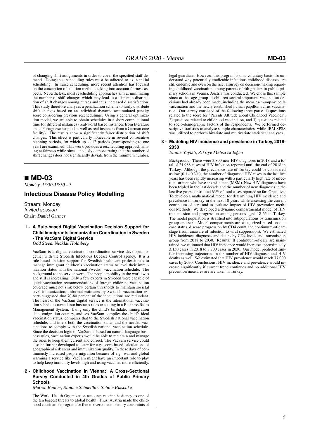of changing shift assignments in order to cover the specified staff demand. Doing this, scheduling rules must be adhered to as in initial scheduling. In nurse scheduling, more recent attention has focused on the conception of solution methods taking into account fairness aspects. Nevertheless, most rescheduling approaches aim at minimizing the number of shift changes which may lead to a disparate distribution of shift changes among nurses and thus increased dissatisfaction. This study therefore analyzes a penalization scheme to fairly distribute shift changes based on an individual dynamic accumulated penalty score considering previous reschedulings. Using a general optimization model, we are able to obtain schedules in a short computational time for different instances (real-world based instances from literature and a Portuguese hospital as well as real instances from a German care facility). The results show a significantly fairer distribution of shift changes. This effect is particularly noticeable in several consecutive planning periods, for which up to 12 periods (corresponding to one year) are examined. This work provides a rescheduling approach aiming at fairness while simultaneously demonstrating that the number of shift changes does not significantly deviate from the minimum number.

### **MD-03**

Monday, 13:30-15:30 - 3

### **Infectious Disease Policy Modelling**

Stream: Monday Invited session Chair: Daniel Gartner

#### **1 - A Rule-based Digital Vaccination Decision Support for Child Immigrants Immunization Coordination in Sweden - The VacSam Digital Service** Odd Steen, Nicklas Holmberg

VacSam is a digital vaccination coordination service developed together with the Swedish Infectious Decease Control agency. It is a rule-based decision support for Swedish healthcare professionals to manage immigrant children's vaccination status to level their immunization status with the national Swedish vaccination schedule. The background to the service were: The people mobility in the world was and still is increasing; Only a few experts in Sweden were capable of quick vaccination recommendations of foreign children; Vaccination coverage must not sink below certain thresholds to maintain societal level immunization; Informal estimates by Swedish vaccination experts suggested that 70-80 percent of the inoculations are redundant. The heart of the VacSam digital service is the international vaccination schedules turned into business rules executing in a Business Rules Management System. Using only the child's birthdate, immigration date, emigration country, and sex VacSam compiles the child's ideal vaccination status, compares that to the Swedish national vaccination schedule, and infers both the vaccination status and the needed vaccinations to comply with the Swedish national vaccination schedule. Since the decision logic of VacSam is based on natural language business rules, vaccination experts would be able to maintain and manage the rules to keep them current and correct. The VacSam service could also be further developed to cater for e.g. score-based calculations of geographical risk areas and immunization quality. In these days of continuously increased people migration because of e.g. war and global warming a service like VacSam might have an important role to play to help keep immunity levels high and using vaccines more efficiently.

#### **2 - Childhood Vaccination in Vienna: A Cross-Sectional Survey Conducted in 4th Grades of Public Primary Schools**

Marion Rauner, Simone Schnedlitz, Sabine Blaschke

The World Health Organization accounts vaccine hesitancy as one of the ten biggest threats to global health. Thus, Austria made the childhood vaccination program for free to overcome monetary constraints of

legal guardians. However, this program is on a voluntary basis. To understand why potentially eradicable infectious childhood diseases are still endemic and even on the rise, a survey on decision-making regarding childhood vaccination among parents of 4th graders in public primary schools in Vienna, Austria was conducted. We chose this sample since at that age group of children several important vaccination decisions had already been made, including the measles-mumps-rubella vaccination and the newly established human papillomavirus vaccination. Our survey consisted of the following three parts: 1) questions related to the score for "Parents Attitude about Childhood Vaccines", 2) questions related to childhood vaccination, and 3) questions related to socio-demographic factors of the respondents. We performed descriptive statistics to analyse sample characteristics, while IBM SPSS was utilized to perform bivariate and multivariate statistical analyses.

#### **3 - Modeling HIV incidence and prevalence in Turkey, 2018- 2030**

Emine Yaylali, Zikriye Melisa Erdogan ˘

Background: There were 3,800 new HIV diagnoses in 2018 and a total of 21,988 cases of HIV infection reported until the end of 2018 in Turkey. Although the prevalence rate of Turkey could be considered as low  $(0.1 - 0.3\%)$ , the number of diagnosed HIV cases in the last five years has been rapidly increasing with a particularly high rate of infection for men who have sex with men (MSM). New HIV diagnoses have been tripled in the last decade and the number of new diagnoses in the last five years constituted 63% of total cases reported so far. Objective: To develop a mathematical model for determining HIV incidence and prevalence in Turkey in the next 10 years while assessing the current continuum of care and to evaluate impact of HIV prevention methods Methods: We developed a dynamic compartmental model of HIV transmission and progression among persons aged 18-65 in Turkey. The model population is stratified into subpopulations by transmission group and sex. Model compartments are categorized based on disease status, disease progression by CD4 count and continuum-of-care stage (from unaware of infection to viral suppression). We estimated HIV incidence, diagnoses and deaths by CD4 levels and transmission group from 2018 to 2030. Results: If continuum-of-care are maintained, we estimated that HIV incidence would increase approximately 3,150 cases in 2018 to 8,700 cases in 2030. Our model predicted similar increasing trajectories in the number of HIV diagnosis and HIV deaths as well. We estimated that HIV prevalence would reach 77,000 cases by 2030. Conclusions: HIV incidence and prevalence would increase significantly if current trend continues and no additional HIV prevention measures are are taken in Turkey.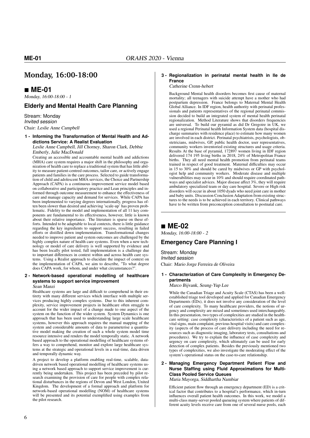### **Monday, 16:00-18:00**

### **ME-01**

Monday, 16:00-18:00 - 1

#### **Elderly and Mental Health Care Planning**

Stream: Monday Invited session Chair: Leslie Anne Campbell

#### **1 - Informing the Transformation of Mental Health and Addictions Service: A Realist Evaluation**

Leslie Anne Campbell, Jill Chorney, Sharon Clark, Debbie Emberly, Julie MacDonald

Creating an accessible and accountable mental health and addictions (MHA) care system requires a major shift in the philosophy and organization of health care to replace a traditional system that has little ability to measure patient-centred outcomes, tailor care, or actively engage patients and families in the care process. Selected to guide transformation of child and adolescent MHA services, the Choice and Partnership Approach (CAPA) is a continuous improvement service model based on collaborative and participatory practice and Lean principles and informed through outcome measurement to enhance the effectiveness of care and manage capacity and demand for services. While CAPA has been implemented to varying degrees internationally, progress has often been slower than desired and achieving 'scale-up' has proven problematic. Fidelity to the model and implementation of all 11 key components are fundamental to its effectiveness, however, little is known about their relative importance. The literature is sparse on these efforts. Intended to be adaptable to local contexts, there is little guidance regarding the key ingredients to support success, resulting in failed efforts or distilled down implementation. Transformational changes needed to improve patient and system outcomes are challenged by the highly complex nature of health care systems. Even when a new technology or model of care delivery is well supported by evidence and has been locally pilot tested, full implementation is a challenge due to important differences in context within and across health care systems. Using a Realist approach to elucidate the impact of context on the implementation of CAPA, we aim to describe, "To what degree does CAPA work, for whom, and under what circumstances?'

#### **2 - Network-based operational modelling of healthcare systems to support service improvement** Sean Manzi

Healthcare systems are large and difficult to comprehend in their entirety with many different services which interface with multiple services producing highly complex systems. Due to this inherent complexity, service improvement projects in healthcare often struggle to account for the wider impact of a change made to one aspect of the system on the function of the wider system. System Dynamics is one approach that has been used to understanding large scale healthcare systems, however this approach requires the manual mapping of the system and considerable amounts of data to parameterise a quantitative model making the creation of such a whole system model time resource intensive and renders the model temporally static. A network based approach to the operational modelling of healthcare systems offers a way to comprehend, monitor and explore large healthcare systems at the strategic and operational levels in a real-time, data driven and temporally dynamic way.

A project to develop a platform enabling real-time, scalable, datadriven network based operational modelling of healthcare systems using a network based approach to support service improvement is currently being undertaken. This project has been preceded by pilot research examining the provision of care for people with complex relational disturbances in the regions of Devon and West London, United Kingdom. The development of a formal approach and platform for network-based operational modelling (NOM) of healthcare systems will be presented and its potential exemplified using examples from the pilot research.

#### **3 - Regionalization in perinatal mental health in Ile de France**

#### Catherine Crenn-hebert

Background Mental health disorders becomes first cause of maternal mortality; all teenagers with suicide attempt have a mother who had postpartum depression. France belongs to Maternal Mental Health Global Alliance. In IDF region, health authority with perinatal professionals and patients representatives of the regional perinatal commission decided to build an integrated system of mental health perinatal regionalization. Method Literature shows that disorders frequencies are universal. To build our pyramid as did Dr Gregoire in UK, we used a regional Perinatal health Information System data (hospital discharge summaries with residence place) to estimate how many women are involved in each district. Perinatal psychiatrists, psychologists, obstetricians, midwives, GP, public health doctor, user representatives, community workers inventoried existing structures and usage criteria. Results At the base of pyramid, 172897 women living in IDF region delivered 174 195 living births in 2018, 24% of Metropolitan France births. They all need mental health promotion from perinatal teams trained in respect of good treatment. Maternal difficulties may occur in 15 to 30% and should be cared by midwives or GP with psychologist help and community workers. Moderate disease and multiple vulnerabilities may occur in 10% and should require coordinated pathways and specialist advices. Major disease affect 3%, they will require ambulatory specialized team or day care hospital. Severe or High risk disorders will occur in about 1050 dyads who need joint care in mother and baby units. Discussion Conclusion Adaptation from existing structures to the needs is to be achieved in each territory. Clinical pathways have to be written from preconception consultation to postnatal care.

### **ME-02**

Monday, 16:00-18:00 - 2

### **Emergency Care Planning I**

Stream: Monday Invited session Chair: Mario Jorge Ferreira de Oliveira

**1 - Characterization of Care Complexity in Emergency Departments**

Marco Bijvank, Seung-Yup Lee

While the Canadian Triage and Acuity Scale (CTAS) has been a wellestablished triage tool developed and applied for Canadian Emergency Departments (EDs), it does not involve any consideration of the level of care complexity. To many healthcare providers, the notions of urgency and complexity are mixed and sometimes used interchangeably. In this presentation, two types of complexities are studied in the healthcare setting: case complexity (characteristics of a patient such as age, vital signs, main complaint, previous hospital visits) and care complexity (aspects of the process of care delivery including the need for resources such as diagnostic imaging, laboratory tests, consultations and procedures). We try to explain the influence of case complexity and urgency on care complexity, which ultimately can be used for early detection of complex patients. Besides the previously mentioned two types of complexities, we also investigate the moderating effect of the system's operational status on the case-to-care relationship.

**2 - Managing Emergency Department Patient Flow and Nurse Staffing using Fluid Approximations for Multi-Class Pooled Service Queues** Maria Mayorga, Siddhartha Nambiar

Efficient patient flow through an emergency department (ED) is a critical factor that contributes to a hospital's performance, which in-turn influences overall patient health outcomes. In this work, we model a multi-class many-server pooled queueing system where patients of different acuity levels receive care from one of several nurse pools, each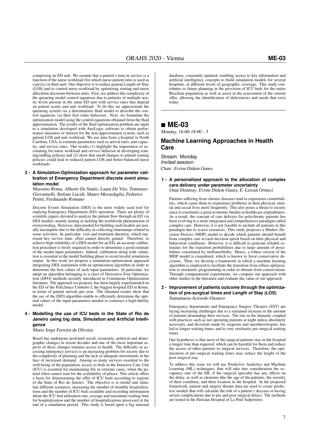comprising an ED unit. We assume that a patient's time in service is a function of the nurse workload (for which nurse-patient ratio is used as a proxy) in their unit. Our objective is to reduce patient Length-of-Stay (LOS) and to control nurse workload by optimizing routing and nurse allocation decisions between units. First, we address the complexity of the queueing model control equations due to patients of multiple acuity levels present in the same ED unit with service rates that depend on patient acuity and unit workload. To do this we approximate the queueing system via a deterministic fluid model to describe the control equations via their first order behaviors. Next, we formulate the optimization model using the control equations obtained from the fluid approximation. The results of the fluid optimization problem are input to a simulation developed with AnyLogic software to obtain performance measures of interest for the non-approximated system, such as patient LOS and unit workload. We use data from a hospital in North Carolina, USA, to estimate parameters such as arrival rates, unit capacity, and service rates. Our results (1) highlight the importance of accounting for nurse workload and service behavior in developing routing/staffing policies and (2) show that small changes to patient routing policies could lead to reduced patient LOS and better-balanced nurse workloads.

#### **3 - A Simulation-Optimization approach for parameter calibration of Emergency Department discrete event simulation model**

Massimo Roma, Alberto De Santis, Laura De Vito, Tommaso Giovannelli, Stefano Lucidi, Mauro Messedaglia, Federico Petitti, Ferdinando Romano

Discrete Events Simulation (DES) is the most widely used tool for studying Emergency Department (ED) operation. There are plenty of scientific papers devoted to analyze the patient flow through an ED via DES models, mainly aiming at tackling the worldwide phenomenon of overcrowding. However, data needed for building such models are usually incomplete due to the difficulty in collecting timestamps related to some activities. In particular, visit and treatment duration, which represent key service time, often cannot directly gained. Therefore, to achieve high reliability of a DES model for an ED, an accurate calibration procedure is firstly required in order to determine a good estimate of the model input parameters. Indeed, calibration along with validation is essential in the model building phase to avoid invalid simulation output. In this work we propose a simulation-optimization approach integrating DES simulation with an optimization algorithm in order to determine the best values of such input parameters. In particular, we adopt an algorithm belonging to a class of Derivative-Free Optimization (DFO) methods recently introduced in Continuous Optimization literature. The approach we propose, has been largely experimented on the ED of the Policlinico Umberto I, the biggest hospital ED in Rome, in terms of patient arrivals per year. The obtained results show that the use of the DFO algorithm enable to efficiently determine the optimal values of the input parameters needed to construct a high-fidelity model.

#### **4 - Modelling the use of ICU beds in the State of Rio de Janeiro using big data, Simulation and Artificial Intelligence**

#### Mario Jorge Ferreira de Oliveira

Brazil has undergone profound social, economic, political and demographic changes in recent decades and one of the most important aspects of these changes remains access to health. The difficulty in accessing emergency services is an increasing problem for society due to the complexity of planning and the lack of adequate investments in the face of increased demand. Among so many services essential to the well-being of the population, access to beds in the Intensive Care Unit (ICU) is essential for maintaining life in extreme cases, when the patient often cannot wait for the availability of places. This article offers a basis for dimensioning the offer of ICU beds according to regions of the State of Rio de Janeiro. The objective is to model and simulate different scenarios, increasing the number of monthly hospitalizations and the number of ICU beds available and recording information about the ICU bed utilization rate, average and maximum waiting time for hospitalization and the number of hospitalizations processed at the end of a simulation period. This study is based upon a big national

database, constantly updated, enabling access to key information and artificial intelligency concepts to build simulation models for several hospitals, at different levels of geographic coverage. This study contributes to future planning in the provision of ICU beds for the entire Brazilian population as well as assist in the assessment of the current offer, allowing the identification of deficiencies and needs that exist today.

### **ME-03**

Monday, 16:00-18:00 - 3

#### **Machine Learning Approaches in Health Care**

Stream: Monday Invited session Chair: Evrim Didem Gunes

#### **1 - A personalized approach to the allocation of complex care delivery under parameter uncertainty** Onur Demiray, Evrim Didem Gunes, E. Lerzan Ormeci

Patients suffering from chronic diseases tend to experience comorbidities, which cause them to experience problems in their physical, mental and social lives more frequently. This also poses a threat to society since it constitutes a great economic burden in healthcare expenditures. As a result, the concept of care delivery for polychronic patients has been evolving to a more integrated and comprehensive paradigm called complex care. However, it is not feasible to include all patients in this paradigm due to scarce resources. This study proposes a Markov Decision Process (MDP) model to decide which patients should benefit from complex care at each decision epoch based on their physical and behavioral conditions. However, it is difficult to generate reliable estimates for the transition probabilities due to large amount of possibilities constituted by multimorbidity. Hence, a robust version of the MDP model is considered, which is known to favor conservative decisions. Then, we develop a framework in which a machine learning algorithm is employed to facilitate the transition from robust optimization to stochastic programming in order to abstain from conservatism. Through computational experiments, we compare our approach with other studies in the literature and evaluate the value of our approach.

#### **2 - Improvement of patients outcome through the optimization of pre-surgical times and Length of Stay (LOS)** Santamaria-Acevedo Gustavo

Emergency departments and Emergency Surgery Theaters (EST) are facing increasing challenges due to a sustained increase in the amount of patients demanding their services. The rise in the demand, coupled with practices such as not operating patients at night unless absolutely necessary, and decisions made by surgeons and anesthesiologists, has led to longer waiting times, and to very stochastic pre-surgical waiting times.

Our hypothesis is that most of the surgical patients stay in the hospital a longer time than required, which can be harmful for them and reduce the access of other patients to surgical services. Therefore, the optimization of pre-surgical waiting times may reduce the lenght of the post surgical stay.

To address this issue we will use Predictive Analytics and Machine Learning (ML) techniques, that will take into consideration the occupancy rate of the ER, if the surgical specialty has any effects on the delay, as well as elements like the age of the patients, the severity of their condition, and their location in the hospital. In the proposed framework, patient and surgery theater data are used to create predictive models that will calculate the risk of a patient's decease or having severe complications due to pre and post surgical delays. The methods are tested in the Parisian Hospital of La Pitié Salpetriere.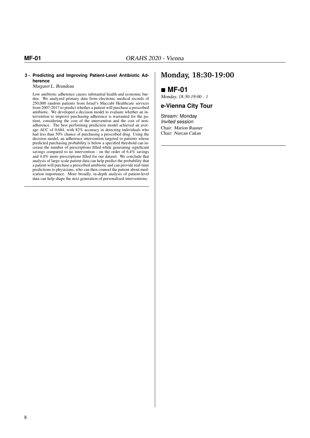#### **3 - Predicting and Improving Patient-Level Antibiotic Adherence**

Margaret L. Brandeau

Low antibiotic adherence causes substantial health and economic burden. We analyzed primary data from electronic medical records of 250,000 random patients from Israel's Maccabi Healthcare services from 2007-2017 to predict whether a patient will purchase a prescribed antibiotic. We developed a decision model to evaluate whether an intervention to improve purchasing adherence is warranted for the patient, considering the cost of the intervention and the cost of nonadherence. The best performing prediction model achieved an average AUC of 0.684, with 82% accuracy in detecting individuals who had less than 50% chance of purchasing a prescribed drug. Using the decision model, an adherence intervention targeted to patients whose predicted purchasing probability is below a specified threshold can increase the number of prescriptions filled while generating significant savings compared to no intervention - on the order of 6.4% savings and 4.0% more prescriptions filled for our dataset. We conclude that analysis of large-scale patient data can help predict the probability that a patient will purchase a prescribed antibiotic and can provide real-time predictions to physicians, who can then counsel the patient about medication importance. More broadly, in-depth analysis of patient-level data can help shape the next generation of personalized interventions.

### **Monday, 18:30-19:00**

### **MF-01**

Monday, 18:30-19:00 - 1

### **e-Vienna City Tour**

Stream: Monday Invited session Chair: Marion Rauner Chair: Nurcan Cakan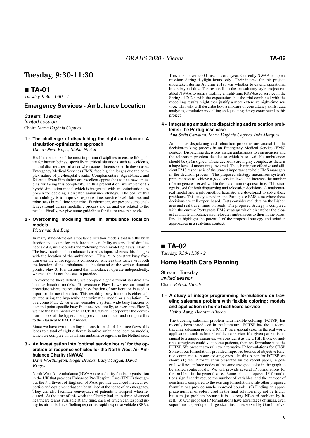### **Tuesday, 9:30-11:30**

### **TA-01**

Tuesday, 9:30-11:30 - 1

#### **Emergency Services - Ambulance Location**

Stream: Tuesday Invited session Chair: Maria Eugénia Captivo

#### **1 - The challenge of dispatching the right ambulance: A simulation-optimization approach** David Olave-Rojas, Stefan Nickel

Healthcare is one of the most important disciplines to ensure life quality for human beings, specially in critical situations such as accidents, natural disasters, terrorism or when acute ailments exist. In these cases, Emergency Medical Services (EMS) face big challenges due the complex nature of pre-hospital events. Complementary, Agent-based and Discrete Event Simulation are excellent approaches to find new strategies for facing this complexity. In this presentation, we implement a hybrid simulation model which is integrated with an optimization approach for deciding a dispatch ambulance strategy. The goal of this methodology is to improve response time, service level, fairness and robustness in real time scenarios. Furthermore, we present some challenges found during modelling process and an analysis related to the results. Finally, we give some guidelines for future research work.

#### **2 - Overcoming modeling flaws in ambulance location models**

#### Pieter van den Berg

In many state-of-the-art ambulance location models that use the busy fraction to account for ambulance unavailability as a result of simultaneous calls, we encounter the following three modeling flaws. Flaw 1: The busy fraction of ambulances is used as input, whereas this changes with the location of the ambulances. Flaw 2: A constant busy fraction over the entire region is considered, whereas this varies with both the location of the ambulances as the demand of the various demand points. Flaw 3: It is assumed that ambulances operate independently, whereas this is not the case in practice.

To overcome these deficits, we compare eight different iterative ambulance location models. To overcome Flaw 1, we use an iterative procedure where the resulting busy fraction of one iteration is used as input for the next iteration. This resulting busy fraction is either calculated using the hypercube approximation model or simulation. To overcome Flaw 2, we either consider a system-wide busy fraction or demand point specific busy fraction. And finally, to overcome Flaw 3, we use the base model of MEXCPDD, which incorporates the correction factors of the hypercube approximation model and compare this to the classical MEXCLP model.

Since we have two modelling options for each of the three flaws, this leads to a total of eight different iterative ambulance location models, which we compare on data from ambulance regions in the Netherlands.

#### **3 - An investigation into 'optimal service hours' for the operation of response vehicles for the North West Air Ambulance Charity (NWAA)**

Dave Worthington, Roger Brooks, Lucy Morgan, David Briggs

North West Air Ambulance (NWAA) are a charity funded organisation in the UK that provides Enhanced Pre-Hospital Care (EPHC) throughout the Northwest of England. NWAA provide advanced medical expertise and equipment that can be utilised at the scene of an emergency. They can also facilitate conveyance of patients to hospital when required. At the time of this work the Charity had up to three advanced healthcare teams available at any time, each of which can respond using its air ambulance (helicopter) or its rapid response vehicle (RRV). They attend over 2,000 missions each year. Currently NWAA complete missions during daylight hours only. Their interest for this project, undertaken during Autumn 2019, was whether to extend operational hours beyond this. The results from the consultancy-style project enabled NWAA to justify trialling a night-time RRV-based service in the Spring of 2020; with the expectation that the trial combined with the modelling results might then justify a more extensive night-time service. This talk will describe how a mixture of consultancy skills, data analytics, simulation modelling and queueing theory contributed to this project.

#### **4 - Integrating ambulance dispatching and relocation problems: the Portuguese case**

Ana Sofia Carvalho, Maria Eugénia Captivo, Inês Marques

Ambulance dispatching and relocation problems are crucial for the decision-making process in an Emergency Medical Service (EMS) context. Dispatching decisions assign ambulances to emergencies and the relocation problem decides to which base available ambulances should be (re)assigned. These decisions are highly complex as there is a huge level of uncertainty involved. Thus, having an effective and efficient EMS response is of the utmost importance to help EMS managers in the decision process. The proposed strategy maximizes system's preparedness to achieve a good service level and increase the number of emergencies served within the maximum response time. This strategy is used for both dispatching and relocation decisions. A mathematical model and a pilot-method heuristic are developed to solve these problems. This study considers the Portuguese EMS case where these decisions are still expert based. Tests consider real data on the Lisbon area and real travel times on roads. The proposed strategy is compared with the current Portuguese EMS strategy which dispatches the closest available ambulance and relocates ambulances to their home bases. Results highlight the potential of the proposed strategy and solution approaches in a real-time context.

### **TA-02**

Tuesday, 9:30-11:30 - 2

#### **Home Health Care Planning**

Stream: Tuesday Invited session Chair: Patrick Hirsch

#### **1 - A study of integer programming formulations on traveling salesman problem with flexible coloring: models and application in home healthcare service** Haibo Wang, Bahram Alidaee

The traveling salesman problem with flexible coloring (FCTSP) has recently been introduced in the literature. FCTSP has the clustered traveling salesman problem (CTSP) as a special case. In the real world applications such as home healthcare service, if a given patient is assigned to a unique caregiver, we consider it as the CTSP. If one of multiple caregivers could visit some patients, then we formulate it as the FCTSP. We present several new alternative IP formulations for CTSP. Some of our formulations provided improved bounds of objective function compared to some existing ones. In this paper for FCTSP we show:  $(1)$  the IP formulation presented by the recent paper, in general, will not enforce nodes of the same assigned color in the graph to be visited contiguously. We will provide several IP formulations for the problem in the general case. Some of our proposed IP formulations significantly reduce the number of variables, and the number of constraints compared to the existing formulation while other proposed formulations provide much-improved bounds. (2) Finding an appropriate number of colors used in the final solution may not be trivial, but a major problem because it is a strong NP-hard problem by itself. (3) Our proposed IP formulations have advantages of linear, even super-linear, speedup on large-sized instances solved by Gurobi solver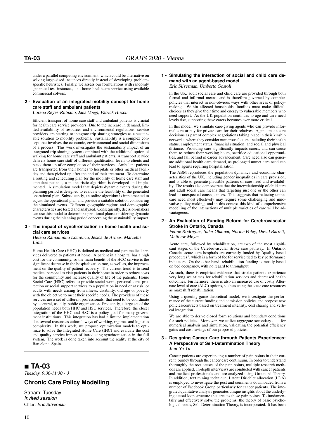under a parallel computing environment, which could be alternative on solving large-sized instances directly instead of developing problemspecific heuristics. Finally, we assess our formulations with randomly generated test instances, and home healthcare service using available commercial solvers.

#### **2 - Evaluation of an integrated mobility concept for home care staff and ambulant patients**

Lorena Reyes-Rubiano, Jana Voegl, Patrick Hirsch

Efficient transport of home care staff and ambulant patients is crucial for health care service providers. Due to the increase in demand, limited availability of resources and environmental regulations, service providers are starting to integrate trip sharing strategies as a sustainable solution to mobility problems. Sustainability is a complex concept that involves the economic, environmental and social dimensions of a process. This work investigates the sustainability impact of an integrated trip sharing system combined with the additional option of walking for home care staff and ambulant patients. A transport service delivers home care staff of different qualification levels to clients and picks them up after completion of their services. Ambulant patients are transported from their homes to hospitals or other medical facilities and then picked up after the end of their treatment. To determine a routing and scheduling plan for the mobility of home care staff and ambulant patients, a matheuristic algorithm is developed and implemented. A simulation model that depicts dynamic events during the planning period is designed to evaluate the feasibility of the generated operational plan. Subsequently, an online algorithm is implemented to adjust the operational plan and provide a suitable solution considering the simulated events. Different geographic regions and demographic characteristics are tested and analyzed. Consequently, decision-makers can use this model to determine operational plans considering dynamic events during the planning period concerning the sustainability impact.

#### **3 - The impact of synchronization in home health and social care services**

Helena Ramalhinho Lourenco, Jesica de Armas, Marcelus Lima

Home Health Care (HHC) is defined as medical and paramedical services delivered to patients at home. A patient in a hospital has a high cost for the community, so the main benefit of the HCC service is the significant decrease in the hospitalization rate, as well as, the improvement on the quality of patient recovery. The current trend is to send medical personal to visit patients in their home in order to reduce costs for the community and increase quality of life of the patients. Home Social Care (HSC) refers to provide social work, personal care, protection or social support services to a population in need or at risk, or adults with needs arising from illness, disability, old age or poverty with the objective to meet their specific needs. The providers of these services are a set of different professionals, that need to be coordinate by a central, usually, public organization. Frequently, a large set of the population needs both HHC and HSC services. Therefore, the closer integration of the HHC and HSC is a policy goal for many government institutions. This integration has had a limited implementation due several reasons as cultural, ways of working, regimes and logistics complexity. In this work, we propose optimization models to optimize to solve the Integrated Home Care (IHC) and evaluate the cost and quality service impact of introducing synchronization in the full system. The work is done taken into account the reality at the city of Barcelona, Spain.

### **TA-03**

Tuesday, 9:30-11:30 - 3

#### **Chronic Care Policy Modelling**

Stream: Tuesday Invited session Chair: Eric Silverman

#### **1 - Simulating the interaction of social and child care demand with an agent-based model** Eric Silverman, Umberto Gostoli

In the UK, adult social care and child care are provided through both formal and informal means, and is therefore governed by complex policies that interact in non-obvious ways with other areas of policymaking. Within affected households, families must make difficult choices as they give their time and energy to vulnerable members who need support. As the UK population continues to age and care need levels rise, supporting these carers becomes ever more critical.

In this model, we simulate care-giving agents who can provide informal care or pay for private care for their relatives. Agents make care decisions as part of complex negotiations taking place in their kinship networks, where they consider numerous factors, including their health status, employment status, financial situation, and social and physical distance. Providing care significantly impacts carers, and can cause them to reduce their working hours, sacrifice educational opportunities, and fall behind in career advancement. Care need also can generate additional health care demand, as prolonged unmet care need can lead to agents requiring hospitalisation.

The ABM reproduces the population dynamics and economic characteristics of the UK, including gender inequalities in care provision, and is able to generate plausible patterns of care need and availability. The results also demonstrate that the interrelationship of child care and adult social care means that targeting just one or the other can lead to unexpected consequences. This suggests that reducing unmet care need most effectively may require some challenging and innovative policy-making, and in this context this kind of comprehensive modelling of the interactions of multiple varieties of care will be advantageous.

#### **2 - An Evaluation of Funding Reform for Cerebrovascular Stroke in Ontario, Canada**

Felipe Rodrigues, Salar Ghamat, Norine Foley, David Barrett, Matthew Meyer

Acute care, followed by rehabilitation, are two of the most significant stages of the Cerebrovascular stroke care pathway. In Ontario, Canada, acute care hospitals are currently funded by "quality based procedures", which is a form of fee for service tied to key performance indicators. On the other hand, rehabilitation funding is mostly based on bed occupancy, with no regard to throughput.

As such, there is empirical evidence that stroke patients experience very long wait-times for rehabilitation services and decreased health outcomes. Furthermore, there is also an increased use of costly Alternate level of care (ALC) options, such as using the acute care resources as makeshift rehabilitation.

Using a queuing game-theoretical model, we investigate the performance of the current funding and admission policies and propose new policies/contracts based on treatment intensity, cost sharing and vertical integration.

We are able to derive closed form solutions and boundary conditions for such policies. Moreover, we utilize aggregate secondary data for numerical analysis and simulation, validating the potential efficiency gains and cost savings of our proposed policies.

#### **3 - Designing Cancer Care through Patients Experiences: A Perspective of Self-Determination Theory** Jiun-Yu Yu

Cancer patients are experiencing a number of pain points in their current journey through the cancer care continuum. In order to understand thoroughly the root causes of the pain points, multiple research methods are applied. In-depth interviews are conducted with cancer patients and medical professionals and are analyzed using Grounded Theory. In addition, text mining technique, Latent Dirichlet allocation (LDA) is employed to investigate the post and comments downloaded from a number of Facebook Group particularly for cancer patients. The integrated qualitative analysis generates unique insights about the underlying causal loop structure that creates those pain points. To fundamentally and effectively solve the problems, the theory of basic psychological needs, Self-Determination Theory, is incorporated. It has been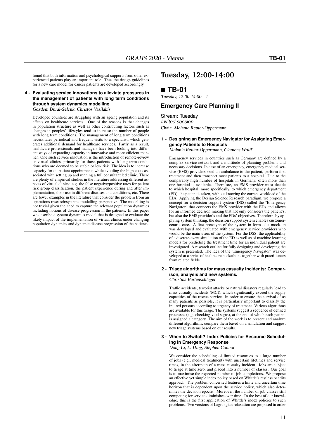found that both information and psychological supports from other experienced patients play an important role. Thus the design guidelines for a new care model for cancer patients are developed accordingly.

#### **4 - Evaluating service innovations to alleviate pressures in the management of patients with long term conditions through system dynamics modelling** Gozdem Dural-Selcuk, Christos Vasilakis

Developed countries are struggling with an ageing population and its effects on healthcare services. One of the reasons is that changes in population structure as well as other contributing factors such as changes in peoples' lifestyles tend to increase the number of people with long term conditions. The management of long term conditions necessitates periodical and frequent visits to a specialist, which generates additional demand for healthcare services. Partly as a result, healthcare professionals and managers have been looking into different ways of expanding capacity in innovative and more efficient manner. One such service innovation is the introduction of remote-review or virtual clinics, primarily for those patients with long term conditions who are deemed to be stable or low risk. The idea is to increase capacity for outpatient appointments while avoiding the high costs associated with setting up and running a full consultant led clinic. There are plenty of empirical studies in the literature addressing different aspects of virtual clinics: e.g. the false negative/positive rates for patient risk group classification, the patient experience during and after implementation, their use in different diseases and conditions, etc. There are fewer examples in the literature that consider the problem from an operations research/systems modelling perspective. The modelling is not trivial given the need to capture the relevant population dynamics including notions of disease progression in the patients. In this paper we describe a system dynamics model that is designed to evaluate the likely impact of the implementation of virtual clinics under changing population dynamics and dynamic disease progression of the patients.

### **Tuesday, 12:00-14:00**

### **TB-01**

Tuesday, 12:00-14:00 - 1

#### **Emergency Care Planning II**

Stream: Tuesday Invited session Chair: Melanie Reuter-Oppermann

#### **1 - Designing an Emergency Navigator for Assigning Emergency Patients to Hospitals**

Melanie Reuter-Oppermann, Clemens Wolff

Emergency services in countries such as Germany are defined by a complex service network and a multitude of planning problems and necessary decisions. In case of an emergency, emergency medical service (EMS) providers send an ambulance to the patient, perform first treatment and then transport most patients to a hospital. Due to the comparably high number of hospitals in Germany, often more than one hospital is available. Therefore, an EMS provider must decide to which hospital, more specifically, to which emergency department (ED), the patient is taken, without knowing the current workload of the EDs. Applying the Design Science Research paradigm, we propose a concept for a decision support system (DSS) called the "Emergency Navigator" that connects the EMS provider with the EDs and allows for an informed decision making that not only considers the patient's, but also the EMS provider's and the EDs' objectives. Therefore, by applying system thinking, the decision support system enables customercentric care. A first prototype of the system in form of a mock-up was developed and evaluated with emergency service providers who would be the main users of the system. For the DSS, the applicability of a discrete-event simulation of the ED as well as of machine learning models for predicting the treatment time for an individual patient are investigated. A research outline for fully designing and developing the system is presented. The idea of the "Emergency Navigator" was developed at a series of healthcare hackathons together with practitioners from related fields.

#### **2 - Triage algorithms for mass casualty incidents: Comparison, analysis and new systems.** Christina Bartenschlager

Traffic accidents, terrorist attacks or natural disasters regularly lead to mass casualty incidents (MCI), which significantly exceed the supply capacities of the rescue service. In order to ensure the survival of as many patients as possible, it is particularly important to classify the injured persons according to urgency of treatment. Various algorithms are available for this triage. The systems suggest a sequence of defined processes (e.g. checking vital signs), at the end of which each patient is assigned a category. The aim of the work is to present and analyze different algorithms, compare them based on a simulation and suggest new triage systems based on our results.

### **3 - When to Switch? Index Policies for Resource Scheduling in Emergency Response**

Dong Li, Li Ding, Stephen Connor

We consider the scheduling of limited resources to a large number of jobs (e.g., medical treatment) with uncertain lifetimes and service times, in the aftermath of a mass casualty incident. Jobs are subject to triage at time zero, and placed into a number of classes. Our goal is to maximise the expected number of job completions. We propose an effective yet simple index policy based on Whittle's restless bandits approach. The problem concerned features a finite and uncertain time horizon that is dependent upon the service policy, which also determines the decision epochs. Moreover, the number of job classes still competing for service diminishes over time. To the best of our knowledge, this is the first application of Whittle's index policies to such problems. Two versions of Lagrangian relaxation are proposed in order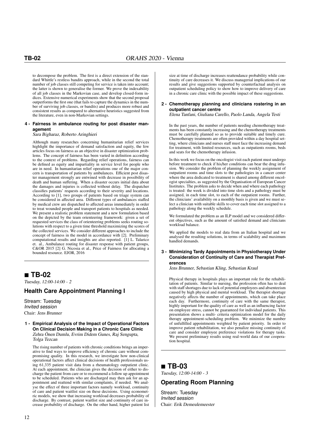to decompose the problem. The first is a direct extension of the standard Whittle's restless bandits approach, while in the second the total number of job classes still competing for service is taken into account; the latter is shown to generalise the former. We prove the indexability of all job classes in the Markovian case, and develop closed-form indices. Extensive numerical experiments show that the second proposal outperforms the first one (that fails to capture the dynamics in the number of surviving job classes, or bandits) and produces more robust and consistent results as compared to alternative heuristics suggested from the literature, even in non-Markovian settings.

#### **4 - Fairness in ambulance routing for post disaster management**

#### Sara Bigharaz, Roberto Aringhieri

Although many researches concerning humanitarian relief services highlight the importance of demand satisfaction and equity, the few articles focus on fairness as an objective in disaster optimization problems. The concept of fairness has been varied in definition according to the context of problems. Regarding relief operations, fairness can be defined as equity and impartiality in service level for people who are in need. In humanitarian relief operations one of the major concern is transportation of patients by ambulances. Efficient post disaster management strongly are entwined with decrease in possibility of death and human suffering. When a disaster occurs initial data about the damages and injuries is collected without delay. The dispatcher classifies patients' requests according to their severity and locations. According to [1], two groups of patients based on triage system can be considered in affected area. Different types of ambulances staffed by medical crew are dispatched to affected areas immediately in order to treat wounded people and transport patients to hospitals as needed. We present a realistic problem statement and a new formulation based on the depicted by the team orienteering framework: given a set of requested services the class of orienteering problems seeks routing solutions with respect to a given time threshold maximizing the scores of the collected services. We consider different approaches to include the concept of fairness in the model in accordance with [2]. Preliminary computational results and insights are also reported. [1] L. Talarico et. al., Ambulance routing for disaster response with patient groups, C&OR 2015 [2] G. Nicosia et al., Price of Fairness for allocating a bounded resource. EJOR, 2016

### **TB-02**

Tuesday, 12:00-14:00 - 2

### **Health Care Appointment Planning I**

Stream: Tuesday Invited session Chair: Jens Brunner

**1 - Empirical Analysis of the Impact of Operational Factors On Clinical Decision Making in a Chronic Care Clinic** Zehra Önen Dumlu, Evrim Didem Gunes, Raj Sengupta, Tolga Tezcan

The rising number of patients with chronic conditions brings an imperative to find ways to improve efficiency of chronic care without compromising quality. In this research, we investigate how non-clinical operational factors affect clinical decisions of health professionals using 61,335 patient visit data from a rheumatology outpatient clinic. At each appointment, the clinician gives the decision of either to discharge the patient from care or to recommend a follow up appointment to be scheduled. Patients who are discharged may then ask for an appointment and reattend with similar complaints, if needed. We analyse the effect of three important factors namely workload, continuity of care and patient waitlist size on these decisions. Using econometric models, we show that increasing workload decreases probability of discharge. By contrast, patient waitlist size and continuity of care increase probability of discharge. On the other hand, higher patient list

size at time of discharge increases reattendance probability while continuity of care decreases it. We discuss managerial implications of our results and give suggestions supported by counterfactual analysis on outpatient scheduling policy to show how to improve delivery of care in a chronic care clinic with the possible impact of these suggestions.

#### **2 - Chemotherapy planning and clinicians rostering in an outpatient cancer centre**

Elena Tanfani, Giuliana Carello, Paolo Landa, Angela Testi

In the past years, the number of patients needing chemotherapy treatments has been constantly increasing and the chemotherapy treatments must be carefully planned so as to provide suitable and timely cure. Chemotherapy treatments are often provided within a day hospital setting, where clinicians and nurses staff must face the increasing demand for treatment, with limited resources, such as outpatients rooms, beds and seats for the chemotherapy infusion.

In this work we focus on the oncologist visit each patient must undergo before treatment to check if his/her conditions can bear the drug infusion. We consider the problem of planning the weekly assignment of outpatient rooms and time slots to the pathologies in a cancer center where the area dedicated to treatment is shared among different oncologist specialties, as suggested by the Organisation of European Cancer Institutes. The problem asks to decide when and where each pathology is treated: the week is divided into time slots and a pathology must be assigned, in each time slot, to each of the outpatient rooms. Further, the clinicians' availability on a monthly basis is given and we must select a clinician with suitable skills to cover each time slot assigned to a pathology along the weekly schedule.

We formulated the problem as an ILP model and we considered different objectives, such as the amount of satisfied demand and clinicians workload balance.

We applied the models to real data from an Italian hospital and we analysed the resulting solutions, in terms of scalability and maximum handled demands.

#### **3 - Minimizing Tardy Appointments in Physiotherapy Under Consideration of Continuity of Care and Therapist Preferences**

Jens Brunner, Sebastian Kling, Sebastian Kraul

Physical therapy in hospitals plays an important role for the rehabilitation of patients. Similar to nursing, the profession often has to deal with staff shortages due to lack of potential employees and absenteeism caused by high physical and mental workload. The therapist shortage negatively affects the number of appointments, which can take place each day. Furthermore, continuity of care with the same therapist, highly important for the quality of care as well as an influencing factor on employee stress, cannot be guaranteed for individual patients. This presentation shows a multi- criteria optimization model for the daily therapy appointment-scheduling problem. We minimize the number of unfulfilled appointments weighted by patient priority. In order to improve patient rehabilitation, we also penalize missing continuity of care and consider employee preference violations for therapy tasks. We present preliminary results using real-world data of our cooperation hospital.

### **TB-03**

Tuesday, 12:00-14:00 - 3

### **Operating Room Planning**

Stream: Tuesday Invited session Chair: Erik Demeulemeester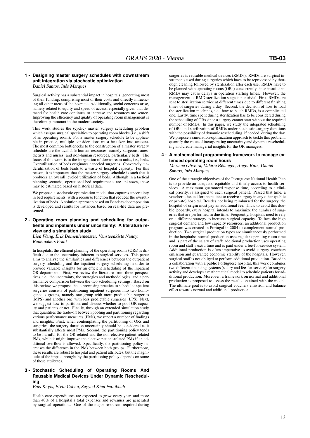#### **1 - Designing master surgery schedules with downstream unit integration via stochastic optimization** Daniel Santos, Inês Marques

Surgical activity has a substantial impact in hospitals, generating most of their funding, comprising most of their costs and directly influencing all other areas of the hospital. Additionally, social concerns arise, namely related to equity and speed of access, especially given that demand for health care continues to increase and resources are scarce. Improving the efficiency and quality of operating room management is therefore paramount in the modern society.

This work studies the (cyclic) master surgery scheduling problem which assigns surgical specialties to operating room blocks (i.e., a shift of an operating room). For a master surgery schedule to be applicable in practice, multiple considerations must be taken into account. The most common bottlenecks to the construction of a master surgery schedule are the available human resources, namely surgeons, anesthetists and nurses, and non-human resources, particularly beds. The focus of this work is in the integration of downstream units, i.e., beds. Overutilization of beds originates canceled surgeries. Conversely, underutilization of beds leads to a waste of hospital capacity. For this reason, it is important that the master surgery schedule is such that it produces an overall leveled utilization of beds. Although in a tactical planning scenario, operational bed requirements are unknown, these may be estimated based on historical data.

We propose a stochastic optimization model that captures uncertainty in bed requirements, with a recourse function that reduces the overutilization of beds. A solution approach based on Benders decomposition is developed and results for instances based on real-life data are presented.

#### **2 - Operating room planning and scheduling for outpatients and inpatients under uncertainty: A literature review and a simulation study**

Lien Wang, Erik Demeulemeester, Vansteenkiste Nancy, Rademakers Frank

In hospitals, the efficient planning of the operating rooms (ORs) is difficult due to the uncertainty inherent to surgical services. This paper aims to analyze the similarities and differences between the outpatient surgery scheduling and the inpatient surgery scheduling in order to provide valuable insights for an efficient scheduling of the inpatient OR department. First, we review the literature from three perspectives, i.e., the uncertainty, the strategies and methodologies, and a performance comparison between the two scheduling settings. Based on this review, we propose that a promising practice to schedule inpatient surgeries consists of partitioning inpatient surgeries into two homogeneous groups, namely one group with more predictable surgeries (MPS) and another one with less predictable surgeries (LPS). Next, we suggest how to partition, and discuss whether to pool OR capacity and patients or not. Finally, through an extended simulation study that quantifies the trade-off between pooling and partitioning regarding various performance measures (PMs), we report a number of findings and insights. First, when contemplating the partitioning of ORs and surgeries, the surgery duration uncertainty should be considered as it substantially affects most PMs. Second, the partitioning policy tends to be harmful for the OR-related and the non-elective patient-related PMs, while it might improve the elective patient-related PMs if an additional overflow is allowed. Specifically, the partitioning policy increases the difference in the PMs between both groups. Furthermore, these results are robust to hospital and patient attributes, but the magnitude of the impact brought by the partitioning policy depends on some of these attributes.

#### **3 - Stochastic Scheduling of Operating Rooms And Reusable Medical Devices Under Dynamic Rescheduling**

Enis Kayis, Elvin Coban, Seyyed Kian Farajkhah

Health care expenditures are expected to grow every year, and more than 40% of a hospital's total expenses and revenues are generated by surgical operations. One of the major resources required during

surgeries is reusable medical devices (RMDs). RMDs are surgical instruments used during surgeries which have to be reprocessed by thorough cleaning followed by sterilization after each use. RMDs have to be planned with operating rooms (ORs) concurrently since insufficient RMDs may cause delays in operation starting times. However, the management of RMD sterilization stage is nontrivial. First, RMDs are sent to sterilization service at different times due to different finishing times of surgeries during a day. Second, the decision of how to load the sterilization machines, i.e., how to batch RMDs, is a complicated one. Lastly, time spent during sterilization has to be considered during the scheduling of ORs since a surgery cannot start without the required number of RMDs. In this paper, we study the integrated scheduling of ORs and sterilization of RMDs under stochastic surgery durations with the possibility of dynamic rescheduling, if needed, during the day. We propose a simulation-optimization approach to tackle this problem, quantify the value of incorporating uncertainty and dynamic rescheduling and create managerial insights for the OR managers.

### **4 - A mathematical programming framework to manage extended operating room hours**

Mariana Oliveira, Valérie Bélanger, Angel Ruiz, Daniel Santos, Inês Marques

One of the strategic objectives of the Portuguese National Health Plan is to provide an adequate, equitable and timely access to health services. A maximum guaranteed response time, according to a clinical priority, is assigned to each surgical patient. Passed that time, a voucher is issued for the patient to receive surgery in any other (public or private) hospital. Besides not being reimbursed for the surgery, the hospital of origin must pay an additional fee. Thus, to avoid this double jeopardy, every hospital intends to maximize the number of surgeries that are performed in due time. Frequently, hospitals need to rely on a different strategy to increase surgical capacity. To face the high surgical demand and low capacity resources, an additional production program was created in Portugal in 2004 to complement normal production. Two surgical production types are simultaneously performed in the hospitals: normal production uses regular operating room time and is part of the salary of staff; additional production uses operating room and staff's extra time and is paid under a fee-for-service system. Additional production is often imperative to avoid surgery vouchers emission and guarantee economic stability of the hospitals. However, surgical staff is not obliged to perform additional production. Based in a collaboration with a public Portuguese hospital, this work combines two different financing systems (salary and fee-for-service) for surgery activity and develops a mathematical model to schedule patients for additional production. Moreover, a framework on normal and additional production is proposed to assess the results obtained with the model. The ultimate goal is to avoid surgical vouchers emission and balance effort towards normal and additional production.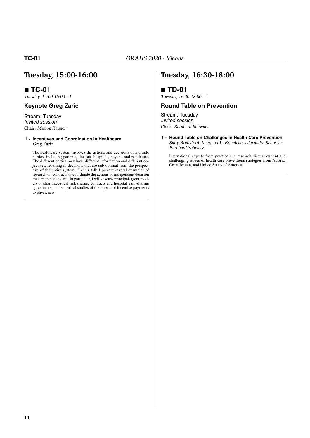### **Tuesday, 15:00-16:00**

### **TC-01**

Tuesday, 15:00-16:00 - 1

### **Keynote Greg Zaric**

Stream: Tuesday Invited session Chair: Marion Rauner

#### **1 - Incentives and Coordination in Healthcare** Greg Zaric

The healthcare system involves the actions and decisions of multiple parties, including patients, doctors, hospitals, payers, and regulators. The different parties may have different information and different objectives, resulting in decisions that are sub-optimal from the perspective of the entire system. In this talk I present several examples of research on contracts to coordinate the actions of independent decision makers in health care. In particular, I will discuss principal-agent models of pharmaceutical risk sharing contracts and hospital gain-sharing agreements; and empirical studies of the impact of incentive payments to physicians.

### **Tuesday, 16:30-18:00**

### **TD-01**

Tuesday, 16:30-18:00 - 1

### **Round Table on Prevention**

Stream: Tuesday Invited session Chair: Bernhard Schwarz

**1 - Round Table on Challenges in Health Care Prevention** Sally Brailsford, Margaret L. Brandeau, Alexandra Schosser, Bernhard Schwarz

International experts from practice and research discuss current and challenging issues of health care preventions strategies from Austria, Great Britain, and United States of America.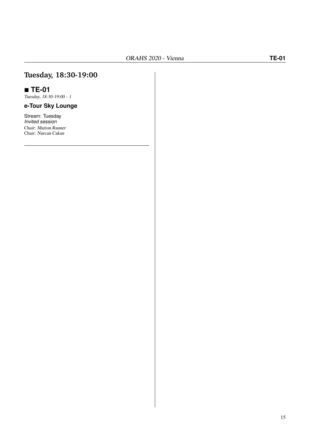## **Tuesday, 18:30-19:00**

### **TE-01**

Tuesday, 18:30-19:00 - 1

### **e-Tour Sky Lounge**

Stream: Tuesday Invited session Chair: Marion Rauner Chair: Nurcan Cakan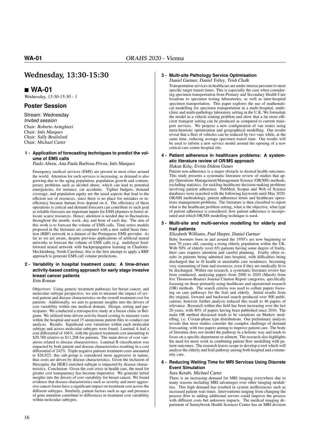### **Wednesday, 13:30-15:30**

### **WA-01**

Wednesday, 13:30-15:30 - 1

### **Poster Session**

Stream: Wednesday Invited session Chair: Roberto Aringhieri Chair: Inês Marques Chair: Sally Brailsford Chair: Michael Carter

#### **1 - Application of forecasting techniques to predict the volume of EMS calls**

Paulo Abreu, Ana Paula Barbosa-Póvoa, Inês Marques

Emergency medical services (EMS) are present in most cities around the world. Attention for such services is increasing, as demand is also growing due to the aging population, population growth and contemporary problems such as alcohol abuse, which can lead to potential emergencies, for instance, car accidents. Tighter budgets, demand coverage, and population equity are the usual aspects that lead to the efficient use of resources, since there is no place for mistakes or inefficiency because human lives depend on it. The efficiency of these operations is critical and demand forecasts can contribute to such goal as reliable forecasts are important inputs for EMS planners to better allocate scarce resources. Hence, attention is needed due to fluctuations throughout the month, week, day and hour of each day. The aim of this work is to forecast the volume of EMS calls. Time series models proposed in the literature are compared with a new radial basis function (RBF) network in a dataset of the Portuguese EMS provider. As far as we are aware, despite previous applications of artificial neural networks to forecast the volume of EMS calls (e.g. multilayer feedforward neural network with backpropagation learning in Charlotte-Mecklenburg, North Carolina), this is the first attempt to apply a RBF approach to generate EMS call volume predictions.

#### **2 - Variability in hospital treatment costs: A time-driven activity-based costing approach for early stage invasive breast cancer patients**

Erin Roman

Objectives: Using generic treatment pathways for breast cancer, and molecular subtype perspective, we aim to measure the impact of several patient and disease characteristics on the overall treatment cost for patients. Additionally, we aim to generate insights into the drivers of cost variability within one medical domain. Design, setting and participants: We conducted a retrospective study at a breast clinic in Belgium. We utilized time-driven activity-based costing to measure costs within the hospital and used 15 anonymous patient files to conduct our analysis. Results: Significant cost variations within each molecular subtype and across molecular subtypes were found. Luminal A had a cost differential of 166%, with the greatest treatment cost amounting to \$29,780 relative to \$11,208 for patients. The main driver of cost variations related to disease characteristics. Luminal B classification was impacted by both patient and disease characteristics resulting in a cost differential of 242%. Triple negative patients treatment costs amounted to \$26,923, this sub-group is considered more aggressive in nature, thus costs are driven by disease characteristics. Given the inclusion of Herceptin, the HER2-enriched subtype is impacted by disease characteristics. Conclusion: Given the cost crisis in health care, the need for greater cost transparency has become imperative. We generate initial insights into the drivers of cost variability for breast cancer. We found evidence that disease characteristics such as severity and more aggressive cancer forms have a significant impact on treatment cost across the different subtypes. Similarly, patient factors such as age and presence of gene mutation contribute to differences in treatment cost variability within molecular subtypes.

#### **3 - Multi-site Pathology Service Optimisation**

Daniel Gartner, Daniel Tolley, Trish Chalk Transportation services in healthcare are under intense pressure to meet specific target transit times. This is especially the case when considering specimen transportation from Primary and Secondary Health Care locations to specimen testing laboratories, as well as inter-hospital specimen transportation. This paper explores the use of mathematical modelling for specimen transportation in a multi-hospital, multiclinic and multi-pathology laboratory setting in the U.K. We formulate the model as a vehicle routing problem and show that a far more efficient transport setting can be produced as compared to current transport services. We propose a new configuration of van routes using meta-heuristic optimisation and geographical modelling. Our results reveal that a fleet of vehicles can be reduced by two vans while, at the same time, reducing average specimen transit time. Our results will be used to inform a new service model around the opening of a new critical care centre hospital site.

#### **4 - Patient adherence in healthcare problems: A systematic literature review of OR/MS approach**

#### Hakan Kılıç, Evrim Didem Gunes

Patient non-adherence is a major obstacle to desired health outcomes. This study presents a systematic literature review of studies that apply Operations Management/Management Science (OR/MS) methods, excluding statistics, for tackling healthcare decision-making problems involving patient adherence. PubMed, Scopus and Web of Science databases were searched with the following keywords until May 2020: OR/MS methodology, patient adherence terms and healthcare operations management problems. The literature is then classified to report what is the healthcare problem setting, what is the objective, what type of patient adherence is considered, how patient adherence is incorporated and which OR/MS modelling technique is used.

#### **5 - Multi-site and multi-service modelling for elderly and frail patients**

#### Elizabeth Williams, Paul Harper, Daniel Gartner

Baby boomers born in and around the 1950's are now beginning to turn 70 years old, causing a rising elderly population within the UK. With 50% of elderly (over 65) patients having some degree of frailty, their care requires attention and careful planning. Frailty often results in patients being admitted into hospital, with difficulties being discharged due to ill health or unsuitable care residences, becoming very consuming of time and resources, even if they are medically fit to be discharged. Within our research, a systematic literature review has been conducted, analysing papers from 2000 to 2020 (March) from five Thomson-Reuters Journal Citation Report categories, specifically focusing on those primarily using healthcare and operational research (OR) methods. The search criteria was used to collate papers focusing on care pathways for the frail and elderly. Initial results from the original, forward and backward search produced over 900 publications, however further analysis reduced this result to 46 papers of relevance. Research within this field has been increasing over the last 20 years, with 40% of papers having been published since 2016. The main OR method discussed tends to be variations on Markov modelling, i.e. Coxian-phase type distributions. Our preliminary analysis reveals that most studies consider the complex challenge of demand forecasting, with two papers aiming to improve patient care. The body of literature does not model the pathway in a holistic way and tends to focus on a specific department or ailment. The research also highlights the need for more work in combining patient flow modelling with patient outcomes. The research leaves scope to develop a tool which will analyse the elderly and frail pathway among both hospital and community care.

#### **6 - Reducing Waiting Time for MRI Services Using Discrete Event Simulation**

#### Sara Ketabi, Michael Carter

There is an increasing demand for MRI imaging everywhere due to many reasons including MRI advantages over other imaging modalities. This high demand has resulted in system inefficiencies such as increased patient wait times. Interventions ranging from changing the process flow to adding additional servers could improve the process with different costs but unknown impacts. The medical imaging department of Sunnybrook Health Sciences Centre has an MRI division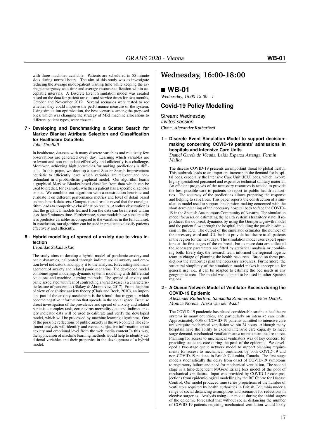with three machines available. Patients are scheduled in 55-minute slots during normal hours. The aim of this study was to investigate reducing the average in/out-patient waiting time while keeping the average emergency wait time and average resource utilization within acceptable intervals. A Discrete Event Simulation model was created based on the data for patient arrivals and service times for two months, October and November 2019. Several scenarios were tested to see whether they could improve the performance measure of the system. Using simulation optimization, the best scenarios among the proposed ones, which was changing the strategy of MRI machine allocations to different patient types, were chosen.

#### **7 - Developing and Benchmarking a Scatter Search for Markov Blanket Attribute Selection and Classification for Healthcare Data Sets**

John Threlfall

In healthcare, datasets with many discrete variables and relatively few observations are generated every day. Learning which variables are re-levant and non-redundant effectively and efficiently is a challenge. Moreover, achieving high accuracies for making predictions is difficult. In this paper, we develop a novel Scatter Search improvement heuristic to efficiently learn which variables are relevant and nonredundant in a probabilistic graphical model. Our algorithm learns a graphical Markov Blanket-based classifier from data which can be used to predict, for example, whether a patient has a specific diagnosis or not. We combine our algorithm with a construction heuristic and evaluate it on different performance metrics and level of detail based on benchmark data sets. Computational results reveal that the our algorithm leads to competitive classification results. Another observation is that the graphical models learned from the data can be inferred within less than 5 minutes time. Furthermore, some models have substantially less predictor variables as compared to the variables in the full data set. In conclusion, our algorithm can be used in practice to classify patients effectively and efficiently.

#### **8 - Hybrid modelling of spread of anxiety due to virus infection**

Leonidas Sakalauskas

The study aims to develop a hybrid model of pandemic anxiety and panic dynamics, calibrated through indirect social anxiety and emotion level indicators, and apply it to the analysis, forecasting and management of anxiety and related panic scenarios. The developed model combines agent modeling, dynamic systems modeling with differential equations and machine learning methods. The spread of anxiety and panic associated with fear of contracting a viral disease is a characteristic feature of pandemics (Blakey & Abramovitz, 2017). From the point of view of cognitive anxiety theory (Clark and Beck, 2010), an important part of the anxiety mechanism is the stimuli that trigger it, which become negative information that spreads in the social space. Because direct investigation of the prevalence and spread of anxiety and related panic is a complex task, coronavirus morbidity data and indirect anxiety indicator data will be used to calibrate and verify the developed model, which will be processed by machine learning algorithms. One of the possible reflections of public anxiety is the web content The sentiment analysis will identify and extract subjective information about anxiety and emotional level from the web media content.In this way, the application of machine learning methods would help to identify additional variables and their properties in the development of a hybrid model.

### **Wednesday, 16:00-18:00**

### **WB-01**

Wednesday, 16:00-18:00 - 1

#### **Covid-19 Policy Modelling**

Stream: Wednesday Invited session Chair: Alexander Rutherford

**1 - Discrete Event Simulation Model to support decisionmaking concerning COVID-19 patients' admissions in hospitals and Intensive Care Units**

Daniel García de Vicuña, Laida Esparza Artanga, Fermin Mallor

The disease COVID-19 presents an important threat to global health. This outbreak leads to an important increase in the demand for hospital beds, especially the Intensive Care Unit (ICU) beds, which involve highly specialized personnel and expensive technical sanitary material. An efficient prognosis of the necessary resources is needed to provide the best possible care to patients to report to public health authorities. The accuracy of the predictions allows preparing the response and helping to save lives. This paper reports the construction of a simulation model used to support the decision-making concerned with the short-term planning of the necessary hospital beds to face the COVID-19 in the Spanish Autonomous Community of Navarre. The simulation model focusses on estimating the health system's transitory state. It reproduces the outbreak dynamics by using the Gompertz growth model and the patient flow through the hospital, including the possible admission in the ICU. The output of the simulator estimates the number of the necessary ward and ICU beds to provide healthcare to all patients in the region for the next days. The simulation model uses expert opinions at the first stages of the outbreak, but as more data are collected the necessary parameters are fitted by statistical analysis or combining both. Every day, the research team informed the regional logistic team in charge of planning the health resources. Based on these predictions the authorities plan the necessary resources. Furthermore, the structural simplicity of the simulation model makes it appropriate for general use, i.e., it can be adapted to estimate the bed needs in any geographic area. The model was adapted to be used in other Spanish regions.

#### **2 - A Queue Network Model of Ventilator Access during the COVID-19 Epidemic**

Alexander Rutherford, Samantha Zimmerman, Peter Dodek, Monica Norena, Alexa van der Waall

The COVID-19 pandemic has placed considerable strain on healthcare systems in many countries, and particularly on intensive care units. Approximately 60% of COVID-19 patients admitted to intensive care units require mechanical ventilation within 24 hours. Although many hospitals have the ability to expand intensive care capacity to meet surge demand, mechanical ventilators are a more constrained resource. Planning for access to mechanical ventilators was of key concern for providing sufficient care during the peak of the epidemic. We developed a two-stage queue network model to support planning requirements for access to mechanical ventilators by both COVID-19 and non-COVID-19 patients in British Columbia, Canada. The first stage models stochastically the delay from onset of COVID-19 symptoms to respiratory failure and need for mechanical ventilation. The second stage is a time-dependent M/G/c/c Erlang loss model of the pool of mechanical ventilators. Input was provided by COVID-19 case projections from epidemiological modelling by the BC Centre for Disease Control. Our model produced time series projections of the number of ventilators required by health authorities in British Columbia under a range of social distancing assumptions and scenarios for reductions in elective surgeries. Analysis using our model during the initial stages of the epidemic forecasted that without social distancing the number of COVID-19 patients requiring mechanical ventilation would likely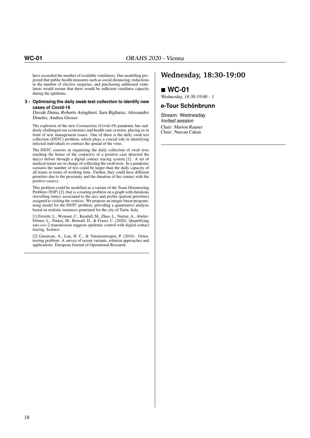have exceeded the number of available ventilators. Our modelling projected that public health measures such as social distancing, reductions in the number of elective surgeries, and purchasing additional ventilators would ensure that there would be sufficient ventilator capacity during the epidemic.

#### **3 - Optimising the daily swab test collection to identify new cases of Covid-19**

Davide Duma, Roberto Aringhieri, Sara Bigharaz, Alessandro Druetto, Andrea Grosso

The explosion of the new Coronavirus (Covid-19) pandemic has suddenly challenged our economics and health care systems, placing us in front of new management issues. One of these is the daily swab test collection (DSTC) problem, which plays a crucial role in identifying infected individuals to contrast the spread of the virus.

The DSTC consists in organizing the daily collection of swab tests reaching the house of the contact(s) of a positive case detected the day(s) before through a digital contact tracing system [1]. A set of medical teams are in charge of collecting the swab tests. In a pandemic scenario the number of test could be larger than the daily capacity of all teams in terms of working time. Further, they could have different priorities due to the proximity and the duration of the contact with the positive case(s).

This problem could be modelled as a variant of the Team Orienteering Problem (TOP) [2], that is a routing problem on a graph with durations (travelling times) associated to the arcs and profits (patient priorities) assigned to visiting the vertices. We propose an integer linear programming model for the DSTC problem, providing a quantitative analysis based on realistic instances generated for the city of Turin, Italy.

[1] Ferretti, L., Wymant, C., Kendall, M., Zhao, L., Nurtay, A., Abeler-Dörner, L., Parker, M., Bonsall, D., & Fraser, C. (2020). Quantifying sars-cov-2 transmission suggests epidemic control with digital contact tracing. Science.

[2] Gunawan, A., Lau, H. C., & Vansteenwegen, P. (2016). Orienteering problem: A survey of recent variants, solution approaches and applications. European Journal of Operational Research.

### **Wednesday, 18:30-19:00**

**WC-01**

Wednesday, 18:30-19:00 - 1

#### **e-Tour Schönbrunn**

Stream: Wednesday Invited session Chair: Marion Rauner Chair: Nurcan Cakan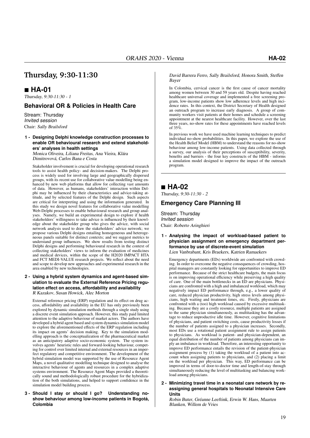### **Thursday, 9:30-11:30**

### **HA-01**

Thursday, 9:30-11:30 - 1

### **Behavioral OR & Policies in Health Care**

Stream: Thursday Invited session Chair: Sally Brailsford

#### **1 - Designing Delphi knowledge construction processes to enable OR behavioural research and extend stakeholders' analyses in health settings**

Monica Oliveira, Liliana Freitas, Ana Vieira, Klára Dimitrovová, Carlos Bana e Costa

Stakeholder involvement is crucial for developing operational research tools to assist health policy- and decision-makers. The Delphi process is widely used for involving large and geographically dispersed groups, with its recent use for collaborative value modelling being enhanced by new web platforms that allow for collecting vast amounts of data. However, as humans, stakeholders' interaction within Delphi may be influenced by their characteristics and advice-taking attitude, and by selected features of the Delphi design. Such aspects are critical for interpreting and using the information generated. In this study we design novel features for collaborative value modelling Web-Delphi processes to enable behavioural research and group analyses. Namely, we build an experimental design to explore if health stakeholders' willingness to take advice is influenced by their knowledge about the stakeholder group who gives the advice, with social network analysis used to draw the stakeholders' advice network; we propose various Delphi designs entailing homogeneous and heterogeneous panels suitable for distinct contexts; and we suggest metrics to understand group influences. We show results from testing distinct Delphi designs and performing behavioural research in the context of collecting stakeholders' views to inform the evaluation of medicines and medical devices, within the scope of the H2020 IMPACT HTA and FCT MEDI-VALUE research projects. We reflect about the need and scope to develop new approaches and experimental research in the area enabled by new technologies.

#### **2 - Using a hybrid system dynamics and agent-based simulation to evaluate the External Reference Pricing regulation effect on access, affordability and availability** R Kazakov, Susan Howick, Alec Morton

External reference pricing (ERP) regulation and its effect on drug access, affordability and availability in the EU has only previously been explored by dynamic simulation methods through a single study using a discrete event simulation approach. However, this study paid limited attention to the adaptive behaviour of market actors. The authors have developed a hybrid agent based and system dynamics simulation model to explore the aforementioned effects of the ERP regulation including its impact on agents' decision making. Key to the simulation modelling approach is the conceptualization of the pharmaceutical market as an anticipatory adaptive socio-economic system. The system involves agents' heuristic rules and forward-looking behaviour, competing for control over limited internal and external resources in an imperfect regulatory and competitive environment. The development of the hybrid simulation model was supported by the use of Resource Agent Maps, a novel qualitative modelling technique designed to analyse the interactive behaviour of agents and resources in a complex adaptive systems environment. The Resource Agent Maps provided a theoretically sound and methodologically robust procedure for the hybridization of the both simulations, and helped to support confidence in the simulation model building process.

**3 - Should I stay or should I go? Understanding noshow behaviour among low-income patients in Bogotá, Colombia**

#### David Barrera Ferro, Sally Brailsford, Honora Smith, Steffen Bayer

In Colombia, cervical cancer is the first cause of cancer mortality among women between 30 and 59 years old. Despite having reached healthcare universal coverage and implemented a free screening program, low-income patients show low adherence levels and high incidence rates. In this context, the District Secretary of Health designed an outreach program to increase early diagnosis. A group of community workers visit patients at their homes and schedule a screening appointment at the nearest healthcare facility. However, over the last three years, no-show rates for these appointments have reached levels of  $35\%$ 

In previous work we have used machine learning techniques to predict individual no-show probabilities. In this paper, we explore the use of the Health Belief Model (HBM) to understand the reasons for no-show behaviour among low-income patients. Using data collected through a survey, our analysis of their perceptions of susceptibility, severity, benefits and barriers - the four key constructs of the HBM - informs a simulation model designed to improve the impact of the outreach program.

### **HA-02**

Thursday, 9:30-11:30 - 2

### **Emergency Care Planning III**

Stream: Thursday Invited session Chair: Roberto Aringhieri

**1 - Analysing the impact of workload-based patient to physician assignment on emergency department performance by use of discrete-event simulation** Lien Vanbrabant, Kris Braekers, Katrien Ramaekers

Emergency departments (EDs) worldwide are confronted with crowding. In order to overcome the negative consequences of crowding, hospital managers are constantly looking for opportunities to improve ED performance. Because of the strict healthcare budgets, the main focus is on improving operational efficiency while preserving a high quality of care. One of the main bottlenecks in an ED are physicians. Physicians are confronted with a high and imbalanced workload, which may negatively impact ED performance through, e.g., a lower quality of care, reduced physician productivity, high stress levels among physicians, high waiting and treatment times, etc. Firstly, physicians are confronted with a (too) high workload caused by excessive multitasking. Because they are a costly resource, multiple patients are assigned to the same physician simultaneously, as multitasking has the advantage to reduce unproductive idle time. However, cognitive limitations of physicians, and patient switching costs, cause productivity losses if the number of patients assigned to a physician increases. Secondly, most EDs use a rotational patient assignment rule to assign patients to physicians. As workload is patient- and physician-dependent, an equal distribution of the number of patients among physicians can imply an imbalance in workload. Therefore, an interesting opportunity to improve ED performance entails the revision of the patient-physician assignment process by (1) taking the workload of a patient into account when assigning patients to physicians, and (2) placing a limit on the workload per physician. This way, ED performance can be improved in terms of door-to-doctor time and length-of-stay through simultaneously reducing the level of multitasking and balancing workload among physicians.

**2 - Minimizing travel time in a neonatal care network by reassigning general hospitals to Neonatal Intensive Care Units**

Robin Buter, Gréanne Leeftink, Erwin W. Hans, Maarten Blanken, Willem de Vries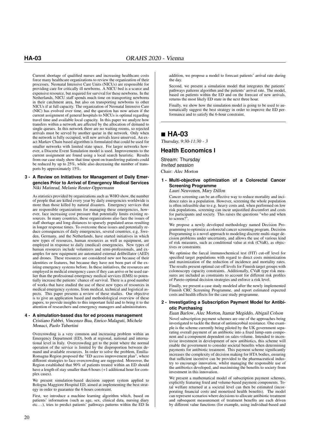Current shortage of qualified nurses and increasing healthcare costs force many healthcare organizations to review the organization of their processes. Neonatal Intensive Care Units (NICUs) are responsible for providing care for critically ill newborns. A NICU bed is a scarce and expensive resource, but required for survival for these newborns. In the Netherlands, NICU staff spends much time on transporting newborns in their catchment area, but also on transporting newborns to other NICUs if at full capacity. The organization of Neonatal Intensive Care (NIC) has evolved over time, and the question has now arisen if the current assignment of general hospitals to NICUs is optimal regarding travel time and available local capacity. In this paper we analyze how transfers within a network are affected by the allocation of demand to single queues. In this network there are no waiting rooms, so rejected arrivals must be served by another queue in the network. Only when the network is fully occupied, will new arrivals leave unserved. An exact Markov Chain based algorithm is formulated that could be used for smaller networks with limited state space. For larger networks however, a Discrete Event Simulation model is used. Improvements to the current assignment are found using a local search heuristic. Results from our case study show that time spent on transferring patients could be reduced by up to 25%, while also decreasing the number of transports by approximately 15%.

#### **3 - A Review on Initiatives for Management of Daily Emergencies Prior to Arrival of Emergency Medical Services** Niki Matinrad, Melanie Reuter-Oppermann

As statistics provided by organizations such as WHO show, the number of people that are killed every year by daily emergencies worldwide is more than those killed by natural disasters. Emergency services that are responsible organizations for managing these emergencies, however, face increasing cost pressure that potentially limits existing resources. In many countries, these organizations also face the issues of staff shortage and long distances to sparsely populated areas resulting in longer response times. To overcome these issues and potentially reduce consequences of daily emergencies, several countries, e.g. Sweden, Germany, and the Netherlands, have started initiatives in which new types of resources, human resources as well as equipment, are employed in response to daily (medical) emergencies. New types of human resources include volunteers and semi-professionals, and examples for new equipment are automated external defibrillator (AED) and drones. These resources are considered new not because of their identities or features, but because they have not been part of the existing emergency systems before. In these initiatives, the resources are employed in medical emergency cases if they can arrive or be used earlier than the professional emergency medical services (EMS) to potentially increase the patients' chance of survival. There is a good number of works that have studied the use of these new types of resources in medical emergency systems, from medical, technical and logistical aspects. This paper presents a review of these studies. Our objective is to give an application based and methodological overview of these papers, to provide insights to this important field and to bring it to the attention of researchers and emergency managers and administrators.

#### **4 - A simulation-based dss for ed process management** Cristiano Fabbri, Vincenzo Bua, Enrico Malaguti, Michele

Monaci, Paolo Tubertini

Overcrowding is a very common and increasing problem within an Emergency Department (ED), both at regional, national and international level in Italy. Overcrowding get to the point where the normal operation of the service is limited by the disproportion between demand and available resources. In order to solve the problem, Emilia-Romagna Region proposed the "ED access improvement plan", where different strategies to face overcrowding are suggested. Moreover, the Region established that 90% of patients treated within an ED should have a length of stay smaller than 6 hours (+1 additional hour for complex cases).

We present simulation-based decision support system applied to Bologna Maggiore Hospital ED, aimed at implementing the best strategy in order to guarantee the 6 hours constraint.

First, we introduce a machine learning algorithm which, based on patients' information (such as age, sex, clinical data, nursing diary etc. . . ), tries to predict patients' pathways patterns within the ED In

addition, we propose a model to forecast patients' arrival rate during the day.

Second, we present a simulation model that integrates the patients' pathways patterns algorithm and the patients' arrival rate. The model, based on patients within the ED and on the forecast of new arrivals, returns the most likely ED state in the next three hour.

Finally, we show how the simulation model is going to be used to automatically suggest the best strategy in order to improve the ED performance and to satisfy the 6-hour constraint.

### **HA-03**

Thursday, 9:30-11:30 - 3

### **Health Economics I**

Stream: Thursday Invited session Chair: Alec Morton

#### **1 - Multi-objective optimization of a Colorectal Cancer Screening Programme**

Lauri Neuvonen, Mary Dillon

Cancer screening can be an effective way to reduce mortality and incidence rates in a population. However, screening the whole population is often infeasible due to e.g. heavy costs and, when performed on low risk populations, screening can incur unjustified discomfort and costs for participants and society. This raises the questions "who and when to screen?

We propose a newly developed methodology named Decision Programming to optimize a colorectal cancer screening program. Decision Programming is a novel approach to modeling discrete multi-stage decision problems under uncertainty, and allows the use of various kind of risk measures, such as conditional value at risk (CVaR), as objectives or constraints.

We optimise the faecal immunochemical test (FIT) cut-off level for specified target populations with regard to direct costs minimization and maximization of the reduction of incidence and mortality rates. The results present optimal cut-off levels for Finnish target groups with colonoscopy capacity constraints. Additionally, CVaR type risk measures are included as constraints to account for different risk profiles of Pareto-optimal decision strategies and enforce a risk level.

Finally, we present a case study modeled after the newly implemented Finnish CRC Screening Programme, and report estimated expected costs and health effects for the case study programme.

#### **2 - Investigating a Subscription Payment Model for Antibiotic Purchasing**

Euan Barlow, Alec Morton, Itamar Megiddo, Abigail Colson Novel subscription payment schemes are one of the approaches being investigated to tackle the threat of antimicrobial resistance. One example is the scheme currently being piloted by the UK government separating overall payment of an antibiotic into a fixed lump-sum component and a component dependent on sales-volume. Intended to incentivise investment in development of new antibiotics, this scheme will enable the government to consider societal benefits when determining payments for antibiotic treatment. This payment scheme significantly increases the complexity of decision making for HTA bodies, ensuring that sufficient incentive can be provided to the pharmaceutical industry to encourage innovation, whilst managing the responsible use of the antibiotics developed, and maximising the benefits to society from investment in this innovation.

We present a mathematical model of subscription payment schemes, explicitly featuring fixed and volume-based payment components. Total welfare returned at a societal level can then be estimated (incorporating financial costs and monetised health benefits). The model can represent scenarios where decisions to allocate antibiotic treatment and subsequent measurement of treatment benefits are each driven by different value functions (for example, using individual-based and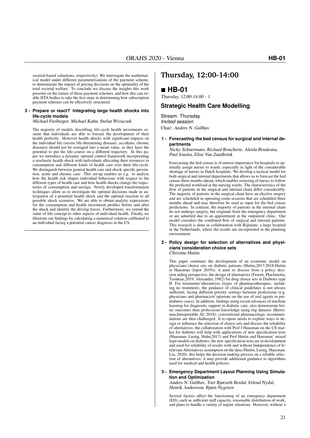societal-based valuations, respectively). We interrogate the mathematical model under different parameterisations of the payment scheme, to demonstrate the impact of pricing decisions on the optimality of the total societal welfare. To conclude we discuss the insights this work presents on the nature of these payment schemes, and how this can enable HTA bodies to take the first steps in determining how subscription payment schemes can be effectively structured.

#### **3 - Prepare or react? Integrating large health shocks into life-cycle models**

Michael Freiberger, Michael Kuhn, Stefan Wrzaczek

The majority of models describing life-cycle health investments assume that individuals are able to foresee the development of their health perfectly. However health shocks with significant impacts on the individual life (severe life-threatening diseases, accidents, chronic diseases) should not be averaged into a mean value, as they have the potential to put the life-course on a different trajectory. In this paper we introduce a dynamic optimal control framework incorporating a stochastic health shock with individuals allocating their resources to consumption and different kinds of health care over their life-cycle. We distinguish between general health care and shock specific prevention, acute and chronic care. This set-up enables us e.g. to analyse how the health risk shapes individual behaviour with respect to the different types of health care and how health shocks change the trajectories of consumption and savings. Newly developed transformation techniques allow us to investigate the optimal decisions made in anticipation of a potential health shock and the optimal reaction to all possible shock scenarios. We are able to obtain analytic expressions for the consumption and health investment profiles before and after the shock and identify the driving forces. Furthermore, we extend the value of life concept to other aspects of individual health. Finally we illustrate our findings by calculating a numerical solution calibrated to an individual facing a potential cancer diagnosis in the US.

### **Thursday, 12:00-14:00**

### **HB-01**

Thursday, 12:00-14:00 - 1

#### **Strategic Health Care Modelling**

Stream: Thursday Invited session Chair: Anders N. Gullhav

#### **1 - Forecasting the bed census for surgical and internal departments**

Nicky Schuermans, Richard Boucherie, Aleida Braaksma, Paul Joustra, Elise Van Zandbrink

Forecasting the bed census is of utmost importance for hospitals to optimally assign nurses to wards, especially in light of the considerable shortage of nurses in Dutch hospitals. We develop a tactical model for both surgical and internal departments that allows us to forecast the bed census three months ahead, which enables rostering of nurses to follow the predicted workload at the nursing wards. The characteristics of the flow of patients in the surgical and internal chain differ considerably. The majority of patients in the surgical chain have an elective surgery and are scheduled in operating room sessions that are scheduled three months ahead and may therefore be used as input for the bed census predictions. In contrast, the majority of patients in the internal chain do not undergo surgery, but originate from the emergency department or are admitted due to an appointment at the outpatient clinic. Our model considers the combined flow of surgical and internal patients. This research is done in collaboration with Rijnstate, a large hospital in the Netherlands, where the results are incorporated in the planning environment.

#### **2 - Policy design for selection of alternatives and physicians'consideration choice sets** Christine Huttin

This paper continues the development of an economic model on physicians'choice sets on diabetic patients (Huttin,2017;2018;Huttin et Hausman (Ispor 2019)); it aims to discuss from a policy decision aiding perspective, the design of alternatives (Ferreti, Pluchinotta, Tsoukias,2019; Alexander, 1982) for drug choice sets in Diabetes type II. For treatments'alterantives (types of pharmacotherapies, including no treatment), the guidance of clinical guidelines is not always sufficient, facing different priority settings between professions (e.g. physicians and pharmacists'opinions on the use of oral agents in prediabetes cases). In addition, findings using recent advances of machine learning for diagnostic support in diabetic care, also demonstrate better outcomes than professions'knowledge using big datasets (Bertsimas,Interpretable AI, 2018); conventional pharmacologic recommendations are then challenged. It re-opens needs to explore ways to design or influence the selection of choice sets and discuss the reliability of alternatives; the collaboration with Prof J Hausman on the US market for diabetes will help with applications of new specification tests (Hausman, Lustig, Hahn,2017) and Prof Huttin and Hausman' mixed logit models on diabetes; the new specification tests are in development and used for reliability of results with and without Independence of Irrelevant Alternatives assumption on the data (Huttin, Lustig, Hausman, Liu, 2020); this helps the decision making process on a reliable selection of alternatives; it may provide additional guidance to algorithms used for medical and health policies.

#### **3 - Emergency Department Layout Planning Using Simulation and Optimization**

Anders N. Gullhav, Tore Bjørseth Berdal, Erlend Nydal, Henrik Andersson, Bjørn Nygreen

Several factors affect the functioning of an emergency department (ED), such as sufficient staff capacity, reasonable distribution of work, and plans to handle a variety of urgent situations. However, without a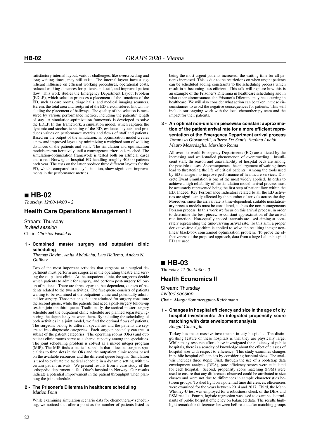satisfactory internal layout, various challenges, like overcrowding and long waiting times, may still exist. The internal layout have a significant influence on efficient working procedures, operational costs, reduced walking-distances for patients and staff, and improved patient flow. This work studies the Emergency Department Layout Problem (EDLP), which solution proposes a placement of the functions of the ED, such as care rooms, triage halls, and medical imaging scanners. Herein, the total area and footprint of the ED are considered known, including the placement of hallways. The quality of the solution is measured by various performance metrics, including the patients' length of stay. A simulation-optimization framework is developed to solve the EDLP. In this framework, a simulation model, which captures the dynamic and stochastic setting of the ED, evaluates layouts, and produces values on performance metrics and flows of staff and patients. Based on the output of the simulation, an optimization model creates a new and improved layout by minimizing a weighted sum of walking distances of the patients and staff. The simulation and optimization models are run iteratively until a convergence criterion is reached. The simulation-optimization framework is tested both on artificial cases and a real Norwegian hospital ED handling roughly 40,000 patients each year. The tests on the latter produce three different layouts for the ED, which, compared to today's situation, show significant improvements in the performance metrics.

### **HB-02**

Thursday, 12:00-14:00 - 2

### **Health Care Operations Management I**

Stream: Thursday Invited session Chair: Christos Vasilakis

#### **1 - Combined master surgery and outpatient clinic scheduling**

Thomas Bovim, Anita Abdullahu, Lars Hellemo, Anders N. Gullhav

Two of the most important activities that surgeons at a surgical department must perform are surgeries in the operating theatre and serving the outpatient clinic. At the outpatient clinic, the surgeons decide which patients to admit for surgery, and perform post-surgery followup of patients. There are three separate, but dependent, queues of patients related to the two activities. The first queue consists of patients waiting to be examined at the outpatient clinic and potentially admitted for surgery. Those patients that are admitted for surgery constitute the second queue, while the patients that need a post-surgery follow-up session join the third queue. Traditionally, the tactical master surgery schedule and the outpatient clinic schedule are planned separately, ignoring the dependency between them. By including the scheduling of both activities in a joint model, we find the optimal flows of patients. The surgeons belong to different specialties and the patients are separated into diagnostic categories. Each surgeon specialty can treat a subset of the patient categories. The operating rooms (ORs) and outpatient clinic rooms serve as a shared capacity among the specialties. The joint scheduling problem is solved as a mixed integer program (MIP). The MIP finds a tactical schedule that allocates surgeon specialties to time slots in the ORs and the outpatient clinic rooms based on the available resources and the different queue lengths. Simulation is used to evaluate the tactical schedule in a dynamic setting with uncertain patient arrivals. We present results from a case study of the orthopedic department at St. Olav's hospital in Norway. Our results indicate a potential improvement in the patient throughput when planning the joint schedule.

#### **2 - The Prisoner's Dilemma in healthcare scheduling** Marion Penn

While examining simulation scenario data for chemotherapy scheduling, we noticed that after a point as the number of patients listed as being the most urgent patients increased, the waiting time for all patients increased. This is due to the restrictions on when urgent patients can be scheduled adding constraints to the scheduling process which result in it becoming less efficient. This talk will explore how this is an example of the Prisoner's Dilemma in healthcare scheduling and in what other circumstances the Prisoner's Dilemma may be occurring in healthcare. We will also consider what action can be taken in these circumstances to avoid the negative consequences for patients. This will include our ongoing work with the local chemotherapy team and the impact for their patients.

#### **3 - An optimal non-uniform piecewise constant approximation of the patient arrival rate for a more efficient representation of the Emergency Department arrival process** Tommaso Giovannelli, Alberto De Santis, Stefano Lucidi, Mauro Messedaglia, Massimo Roma

All over the world Emergency Departments (ED) are afflicted by the increasing and well-studied phenomenon of overcrowding. Insufficient staff, flu season and unavailability of hospital beds are among the possible causes. As consequence, the enlargement of waiting times lead to threatening the life of critical patients. Among the tools used by ED managers to improve performance of healthcare services, Discrete Event Simulation is one of the most widely applied. In order to achieve a high reliability of the simulation model, arrival process must be accurately represented being the first step of patient flow within the ED. Indeed, Key Performance Indicators related to all the ED activities are significantly affected by the number of arrivals across the day. Moreover, since the arrival rate is time-dependent, suitable nonstationary process models must be considered, such as the non-homogeneous Poisson process. In this work we focus on this arrival process, in order to determine the best piecewise-constant approximation of the arrival rate function. Non-equally spaced intervals are used aiming at accurately representing the time-varying arrival rate. To this aim, a proper derivative-free algorithm is applied to solve the resulting integer nonlinear black-box constrained optimization problem. To prove the effectiveness of the proposed approach, data from a large Italian hospital ED are used.

### **HB-03**

Thursday, 12:00-14:00 - 3

### **Health Economics II**

Stream: Thursday Invited session Chair: Margit Sommersguter-Reichmann

#### **1 - Changes in hospital efficiency and size in the age of city hospital investments: An integrated propensity score matching with data envelopment analysis** Songul Cinaroglu

Turkey has made massive investments in city hospitals. The distinguishing feature of these hospitals is that they are physically large. While many research efforts have investigated the efficiency of public hospitals, there is a scarcity of knowledge about the effect of classes of hospital size with respect to efficiency. This study examines changes in public hospital efficiencies by considering hospital sizes. The analysis includes three steps: First, through the use of a bootstrap data envelopment analysis (DEA), pure efficiency scores were calculated for each hospital. Second, propensity score matching (PSM) were used to ensure that any differences observed could be attributed to size classes and were not due to differences in sample characteristics between groups. To shed light on a potential time differences, efficiencies were examined for the years between 2014 and 2017. Third, the Mann Whitney-U test was employed for a robustness check of the DEA and PSM results. Fourth, logistic regression was used to examine determinants of public hospital efficiency on balanced data. The results highlight remarkable differences between before and after matching groups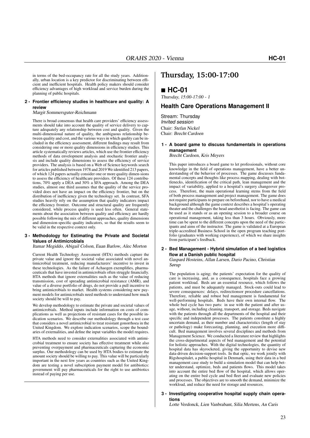in terms of the bed-occupancy rate for all the study years. Additionally, urban location is a key predictor for discriminating between efficient and inefficient hospitals. Health policy makers should consider efficiency advantages of high workload and service burden during the planning of public hospitals.

#### **2 - Frontier efficiency studies in healthcare and quality: A review**

Margit Sommersguter-Reichmann

There is broad consensus that health care providers' efficiency assessments should take into account the quality of service delivery to capture adequately any relationship between cost and quality. Given the multi-dimensional nature of quality, the ambiguous relationship between quality and cost, and the various ways in which quality can be included in the efficiency assessment, different findings may result from considering one or more quality dimensions in efficiency studies. This article systematically reviews articles, which use the frontier efficiency methods of data envelopment analysis and stochastic frontier analysis and include quality dimensions to assess the efficiency of service providers. The analysis is based on a Web of Science keywords search for articles published between 1978 and 2019 We identified 213 papers, of which 124 papers actually consider one or more quality dimen-sions to assess the efficiency of healthcare providers. Of these 124 contributions, 70% apply a DEA and 30% a SFA approach. Among the DEA studies, almost one third assumes that the quality of the service provided does not have an impact on the efficiency frontier, but on the distribution of inefficiency given the technology set. In contrast, SFA studies heavily rely on the assumption that quality indicators impact the efficiency frontier. Outcome and structural quality are frequently considered, while process quality is used less often. General statements about the association between quality and efficiency are hardly possible following the mix of different approaches, quality dimensions and dimension-specific quality indicators, so that the results seem to be valid in the respective context only.

#### **3 - Methodology for Estimating the Private and Societal Values of Antimicrobials**

Itamar Megiddo, Abigail Colson, Euan Barlow, Alec Morton

Current Health Technology Assessment (HTA) methods capture the private value and ignore the societal value associated with novel antimicrobial treatment, reducing manufacturers' incentive to invest in these technologies. As the failure of Achaogen exemplifies, pharmaceuticals that have invested in antimicrobials often struggle financially. HTA methods that ignore externalities such as the value of reducing transmission, cost of spreading antimicrobial resistance (AMR), and value of a diverse portfolio of drugs, do not provide a pull incentive to bring antimicrobials to market. Health systems considering new payment models for antimicrobials need methods to understand how much society should be will to pay.

We develop methodology to estimate the private and societal values of antimicrobials. Method inputs include information on costs of complications as well as projections of resistant cases for the possible indication scenarios. We describe our methodology through a test case that considers a novel antimicrobial to treat resistant gonorrhoea in the United Kingdom. We explore indication scenarios, scope the boundaries of externalities, and define the input variables the model requires.

HTA methods need to consider externalities associated with antimicrobial treatment to ensure society has effective treatment while also preventing overpayment and pharmaceuticals capturing the economic surplus. Our methodology can be used by HTA bodies to estimate the amount society should be willing to pay. This value will be particularly important in the next few years as countries such as the United Kingdom are testing a novel subscription payment model for antibiotics: government will pay pharmaceuticals for the right to use antibiotics instead of paying per use.

### **Thursday, 15:00-17:00**

### **HC-01**

Thursday, 15:00-17:00 - 1

### **Health Care Operations Management II**

Stream: Thursday Invited session Chair: Stefan Nickel Chair: Brecht Cardoen

#### **1 - A board game to discuss fundamentals in operations management**

Brecht Cardoen, Kris Meyers

This paper introduces a board game to let professionals, without core knowledge in the field of operations management, have a better understanding of the behavior of processes. The game discusses fundamental concepts and thoughts like process mapping, dealing with bottlenecks, identification of the critical path, lean management and the impact of variability, applied to a hospital's surgery changeover process. Therefore, the main operational learning stems from the field of both process management and project management. The game does not require participants to prepare on beforehand, nor to have a medical background although the game context describes a hospital's operating theater and the challenges the head anesthetist is facing. The game can be used as it stands or as an opening session to a broader course on operational management, taking less than 3 hours. Obviously, more time can be spent to the different concepts upon the need of the participants and aims of the instructor. The game is validated at a European triple-accredited Business School in the open program teaching portfolio (graduates with working experience), of which we share insights from participant's feedback.

#### **2 - Bed Management - Hybrid simulation of a bed logistics flow at a Danish public hospital** Gaspard Hosteins, Allan Larsen, Dario Pacino, Christian Sørup

The population is aging; the patients' expectation for the quality of care is increasing, and, as a consequence, hospitals face a growing patient workload. Beds are an essential resource, which follows the patients, and must be adequately managed. Stock-outs could lead to severe consequences: delays, redirectionsor procedure cancellations. Therefore, reliable and robust bed management is fundamental for well-performing hospitals. Beds have their own internal flow. The whole bed cycle has two parts: in use with the patient and after usage, without, including cleaning, transport, and storage. Beds navigate with the patients through all the departments of the hospital and their specific and independent processes. The patients constitute a highly uncertain demand, as their number and characteristics (length of stay or pathology) make forecasting, planning, and execution more difficult. Bed management involves several disciplines and methods from Management Science. We conducted a literature review that highlights the cross-departmental aspects of bed management and the potential for holistic approaches. With the digital technologies, the quantity of hospital data has skyrocketed, giving the opportunity to devise new data-driven decision-support tools. In that optic, we work jointly with Rigshospitalet, a public hospital in Denmark, using their data in a bed management case study to build a simulation model that can help better understand, optimize, beds and patients flows. This model takes into account the entire bed flow of the hospital, which allows operating on the entire bed cycle and bed fleet and evaluate new policies and processes. The objectives are to smooth the demand, minimize the workload, and reduce the need for storage and resources.

#### **3 - Investigating cooperative hospital supply chain operations**

Lotte Verdonck, Lien Vanbrabant, Silia Mertens, An Caris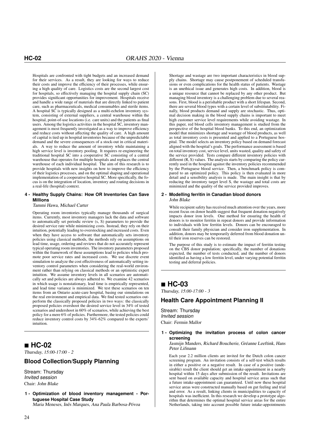Hospitals are confronted with tight budgets and an increased demand for their services. As a result, they are looking for ways to reduce their costs and improve the efficiency of their processes, while ensuring a high quality of care. Logistics costs are the second largest cost for hospitals, so effectively managing the hospital supply chain (SC) provides significant opportunities for improvement. Hospitals receive and handle a wide range of materials that are directly linked to patient care, such as pharmaceuticals, medical consumables and sterile items. A hospital SC is typically designed as a multi-echelon inventory system, consisting of external suppliers, a central warehouse within the hospital, point-of-use locations (i.e. care units) and the patients as final users. Among the logistics activities in the hospital SC, inventory management is most frequently investigated as a way to improve efficiency and reduce costs without affecting the quality of care. A high amount of capital is tied up in hospital inventories because of the unpredictable demand and the severe consequences of a stock-out in critical materials. A way to reduce the amount of inventory while maintaining a high service level is inventory pooling. It requires re-engineering the traditional hospital SC into a cooperative SC consisting of a central warehouse that operates for multiple hospitals and replaces the central warehouse of each individual hospital. The aim of this research is to provide hospitals with new insights on how to improve the efficiency of their logistics processes, and on the optimal shaping and operational implementation of a cooperative hospital SC. More specifically, the focus is on the integration of location, inventory and routing decisions in a real-life (hospital) context.

#### **4 - Healthy Supply Chains: How OR Inventories Can Save Millions**

#### Tammi Hawa, Michael Carter

Operating room inventories typically manage thousands of surgical items. Currently, most inventory managers lack the data and software to automatically set periodic review (s, S) parameters to provide the desired service rate while minimizing costs. Instead, they rely on their intuition, potentially leading to overstocking and increased costs. Even when they have access to software that automatically sets inventory policies using classical methods, the methods rely on assumptions on lead time, usage, ordering and reviews that do not accurately represent typical operating room inventories. The inventory parameters proposed within the framework of these assumptions lead to policies which promote poor service rates and increased costs. We use discrete event simulation to analyze the cost effectiveness of automatically setting inventory control parameters when considering the real-world environment rather than relying on classical methods or an optimistic expert intuition. We assume inventory levels in all scenarios are automatically set and policies are always adhered to. We examine 42 scenarios in which usage is nonstationary, lead time is empirically represented, and lead time variance is minimized. We test these scenarios on ten items from an Ontario acute-care hospital, basing our simulations on the real environment and empirical data. We find tested scenarios outperform the classically proposed policies in two ways: the classically proposed policies overshoot the desired service level in 34% of tested scenarios and undershoot in 60% of scenarios, while achieving the best policy for a mere 6% of policies. Furthermore, the tested policies could reduce inventory control costs by 34%-62% compared to the experts' intuition.

### **HC-02**

Thursday, 15:00-17:00 - 2

### **Blood Collection/Supply Planning**

Stream: Thursday Invited session Chair: John Blake

**1 - Optimization of blood inventory management - Portuguese Hospital Case Study** Maria Meneses, Inês Marques, Ana Paula Barbosa-Póvoa

Shortage and wastage are two important characteristics in blood supply chains. Shortage may cause postponement of scheduled transfusions or even complications for the health status of patients. Wastage is an unethical issue and generates high costs. In addition, blood is a unique resource that cannot be replaced by any other product. But managing blood inventory is a challenging problem due to several reasons. First, blood is a perishable product with a short lifespan. Second, there are several blood types with a certain level of substitutability. Finally, blood products demand and supply are stochastic. Thus, optimal decision making in the blood supply chains is important to meet high customer service level requirements while avoiding wastage. In this paper, red blood cells inventory management is studied from the perspective of the hospital blood banks. To this end, an optimization model that minimizes shortage and wastage of blood products, as well as total inventory costs is presented and applied to a Portuguese hospital. The model selects an inventory policy based on demand forecast aligned with the hospital's goals. The performance assessment is based on total inventory cost, service level, units wasted, quality and safety of the service provided. Tests compare different inventory policies with different (R, S) values. The analysis starts by comparing the policy currently used in the hospital against the inventory policies recommended by the Portuguese blood service. Then, a benchmark policy is compared to an optimized policy. This policy is then evaluated in more detail and a sensibility analysis is made. The main insight is that by reducing the inventory target level S, the wastage and total costs are minimized and the quality of the service provided improves.

#### **2 - Modelling ferritin in Canadian blood donors** John Blake

While recipient safety has received much attention over the years, more recent focus on donor health suggest that frequent donation negatively impacts donor iron levels. One method for ensuring the health of donors is to monitor ferritin in repeat donors and provide information to individuals with low ferritin levels. Donors can be encouraged to consult their family physician and consider iron supplementation. In addition, donors may be temporarily deferred from blood donation until their iron reserves can be restored.

The purpose of this study is to estimate the impact of ferritin testing on the CBS donor population; specifically, the number of donations expected, the number of tests conducted, and the number of donors identified as having a low ferritin level, under varying potential ferritin testing and deferral policies.

### ■ HC-03

Thursday, 15:00-17:00 - 3

### **Health Care Appointment Planning II**

Stream: Thursday Invited session Chair: Fermin Mallor

#### **1 - Optimizing the invitation process of colon cancer screening**

Jasmijn Manders, Richard Boucherie, Gréanne Leeftink, Hans Peter Lifmann

Each year 2.2 million clients are invited for the Dutch colon cancer screening program. An invitation consists of a self-test which results in either a positive or a negative result. In case of a positive (undesirable) result the client should get an intake-appointment in a nearby hospital within 15 days after submission of the result. Invitations are sent based on available capacity and hospital service areas such that a future intake-appointment can guaranteed. Until now these hospital service areas were constructed manually based on gut feeling and trial and error. As a result, linking clients in municipalities to capacity of hospitals was inefficient. In this research we develop a prototype algorithm that determines the optimal hospital service areas for the entire Netherlands, taking into account possible future intake-appointments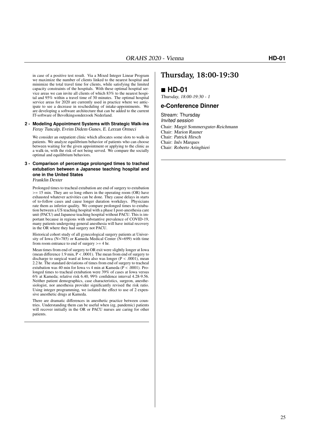in case of a positive test result. Via a Mixed Integer Linear Program we maximize the number of clients linked to the nearest hospital and minimize the total travel time for clients, while satisfying the limited capacity constraints of the hospitals. With these optimal hospital service areas we can invite all clients of which 83% to the nearest hospital and 95% within a travel time of 30 minutes. The optimal hospital service areas for 2020 are currently used in practice where we anticipate to see a decrease in rescheduling of intake-appointments. We are developing a software architecture that can be added to the current IT-software of Bevolkingsonderzoek Nederland.

#### **2 - Modeling Appointment Systems with Strategic Walk-ins** Feray Tuncalp, Evrim Didem Gunes, E. Lerzan Ormeci

We consider an outpatient clinic which allocates some slots to walk-in patients. We analyze equilibrium behavior of patients who can choose between waiting for the given appointment or applying to the clinic as a walk-in, with the risk of not being served. We compare the socially optimal and equilibrium behaviors.

### **3 - Comparison of percentage prolonged times to tracheal extubation between a Japanese teaching hospital and one in the United States**

Franklin Dexter

Prolonged times to tracheal extubation are end of surgery to extubation  $>= 15$  min. They are so long others in the operating room (OR) have exhausted whatever activities can be done. They cause delays in starts of to-follow cases and cause longer duration workdays. Physicians rate them as inferior quality. We compare prolonged times to extubation between a US teaching hospital with a phase I post-anesthesia care unit (PACU) and Japanese teaching hospital without PACU. This is important because in regions with substantive prevalence of COVID-19, many patients undergoing general anesthesia will have initial recovery in the OR where they had surgery not PACU.

Historical cohort study of all gynecological surgery patients at University of Iowa  $(N=785)$  or Kameda Medical Center  $(N=699)$  with time from room entrance to end of surgery >= 4 hr.

Mean times from end of surgery to OR exit were slightly longer at Iowa (mean difference 1.9 min,  $\overline{P}$  < .0001). The mean from end of surgery to discharge to surgical ward at Iowa also was longer ( $P < .0001$ ), mean 2.2 hr. The standard deviations of times from end of surgery to tracheal extubation was 40 min for Iowa vs 4 min at Kameda ( $\overline{P}$  < .0001). Prolonged times to tracheal extubation were 39% of cases at Iowa versus 6% at Kameda; relative risk 6.40, 99% confidence interval 4.28-9.56. Neither patient demographics, case characteristics, surgeon, anesthesiologist, nor anesthesia provider significantly revised the risk ratio. Using integer programming, we isolated the effect to use of 2 expensive anesthetic drugs at Kameda.

There are dramatic differences in anesthetic practice between countries. Understanding them can be useful when (eg, pandemic) patients will recover initially in the OR or PACU nurses are caring for other patients.

### **Thursday, 18:00-19:30**

### **HD-01**

Thursday, 18:00-19:30 - 1

#### **e-Conference Dinner**

Stream: Thursday Invited session Chair: Margit Sommersguter-Reichmann Chair: Marion Rauner Chair: Patrick Hirsch Chair: Inês Marques Chair: Roberto Aringhieri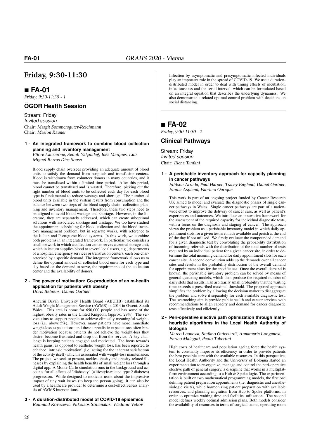### **Friday, 9:30-11:30**

 **FA-01** Friday, 9:30-11:30 - 1

### **ÖGOR Health Session**

Stream: Friday Invited session Chair: Margit Sommersguter-Reichmann Chair: Marion Rauner

#### **1 - An integrated framework to combine blood collection planning and inventory management** Ettore Lanzarone, Semih Yalçındağ, Inês Marques, Luís

Miguel Barros Dias Sousa

Blood supply chain oversees providing an adequate amount of blood units to satisfy the demand from hospitals and transfusion centers. Blood is withdrawn from volunteer donors in many countries, and it must be transfused within a limited time period. After this period, blood cannot be transfused and is wasted. Therefore, picking out the right number of blood units to be collected each day for each blood type is fundamental to reduce wastage and shortage. The number of blood units available in the system results from consumption and the balance between two steps of the blood supply chain: collection planning and inventory management. Therefore, these two steps need to be aligned to avoid blood wastage and shortage. However, in the literature, they are separately addressed, which can create suboptimal solutions with associated shortage and wastage. We too have studied the appointment scheduling for blood collection and the blood inventory management problem, but in separate works, with reference to the Italian and Portuguese blood systems. In this work, we combine both problems in an integrated framework. In particular, we consider a small network in which a collection center serves a central storage unit, which in its turn supplies blood to several local users, e.g., departments of a hospital, emergency services or transfusion centers, each one characterized by a specific demand. The integrated framework allows us to define the optimal amount of collected blood units for each type and day based on the demand to serve, the requirements of the collection center and the availability of donors.

#### **2 - The power of motivation: Co-production of an m-health application for patients with obesity**

Doris Behrens, Daniel Gartner

Aneurin Bevan University Health Board (ABUHB) established its Adult Weight Management Service (AWMS) in 2014 in Gwent, South Wales. This area is home for 650,000 people and has some of the highest obesity rates in the United Kingdom (approx. 29%). The service aims to support people to achieve clinically meaningful weightloss (i.e. above 5%). However, many patients have more immediate weight-loss expectations, and these unrealistic expectations often hinder motivation because patients do not achieve the weight-loss they desire, become frustrated and drop-out from the service. A key challenge is keeping patients engaged and motivated. The focus towards health gains, as opposed to aesthetic weight loss, has been reported to enhance 'intrinsic motivation' (i.e. acting for the inherent satisfaction of the activity itself) which is associated with weight-loss maintenance. The project, we seek to present, tackles obesity and obesity-related illnesses by explaining the health benefits of small weight loss through a digital app. A Monte-Carlo simulation runs in the background and accounts for all effects of "diabesity" (=lifestyle-related type 2 diabetes) progression. While designed to motivate users about the impressive impact of tiny wait losses (to keep the person going), it can also be used by a healthcare provider to determine a cost-effectiveness analysis of AWMS interventions.

#### **3 - A duration-distributed model of COVID-19 epidemics** Raimund Kovacevic, Nikolaos Stilianakis, Vladimir Veliov

Infection by asymptomatic and presymptomatic infected individuals play an important role in the spread of COVID-19. We use a durationdistributed model in order to deal with timing effects of incubation, infectiousness and the serial interval, which can be formulated based on an integral equation that describes the underlying dynamics. We also demonstrate a related optimal control problem with decisions on social distancing.

### **FA-02**

Friday, 9:30-11:30 - 2

**Clinical Pathways** Stream: Friday

Invited session Chair: Elena Tanfani

**1 - A perishable inventory approach for capacity planning in cancer pathways**

Edilson Arruda, Paul Harper, Tracey England, Daniel Gartner, Emma Aspland, Fabrício Ourique

This work is part of an ongoing project funded by Cancer Research UK aimed to model and evaluate the diagnostic phases of single cancer pathways in Wales. Single cancer pathways are part of a nationwide effort to improve the delivery of cancer care, as well as patient's experiences and outcomes. We introduce an innovative framework for the assessment of the required capacity for individual diagnostic tests, with a focus on the diagnosis and staging of cancer. The approach views the problem as a perishable inventory model in which daily appointment slots for a given test are made available and perish at the end of the day if not utilised. We firstly evaluate the compounded demand for a given diagnostic test by convoluting the probability distribution of incoming referrals with the distribution of the total number of tests required by an individual patient for a given cancer site, in order to determine the total incoming demand for daily appointment slots for each cancer site. A second convolution adds up the demands over all cancer sites and results in the probability distribution of the overall demand for appointment slots for the specific test. Once the overall demand is known, the perishable inventory problem can be solved by means of general queueing models, which then produce the required number of daily slots that results in an arbitrarily small probability that the waiting time exceeds a prescribed maximal threshold. The proposed approach simplifies the problem by allowing the decision maker to disaggregate the problem and solve it separately for each available diagnostic test. The overarching aim is provide public health and cancer services with recommendations to align capacity and demand for cancer diagnostic tests effectively and efficiently.

**2 - Peri-operative elective path optimization through mathheuristic algorithms in the Local Health Authority of Bologna**

Marco Leonessi, Stefano Guicciardi, Annamaria Longanesi, Enrico Malaguti, Paolo Tubertini

High costs of healthcare and population ageing force the health system to constantly improve its efficiency in order to provide patients the best possible care with the available resources. In this perspective, the Local Health Authority and the University of Bologna started an experimentation to re-organize, manage and control the peri-operative elective path of general surgery, a discipline that works in a multiplatform environment according to a Hub  $\&$  Spoke logic. The experimentation is built on two mathematical programming models, the first one defining patient preparation appointments (i.e. diagnostic and anesthesiologic visits), while harmonizing patient preparation with available resources, and planning migration from Hub to Spoke platforms, in order to optimize waiting time and facilities utilization. The second model defines weekly optimal admission plans. Both models consider the availability of resources in terms of surgical teams, operating room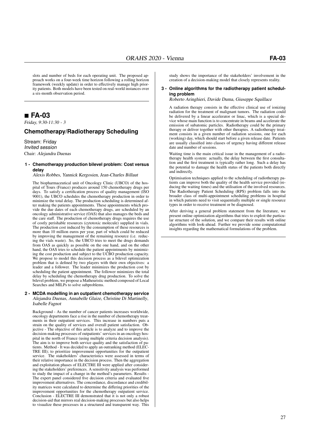slots and number of beds for each operating unit. The proposed approach works on a four-week time horizon following a rolling horizon framework (weekly update) in order to effectively manage high priority patients. Both models have been tested on real-world instances over a six-month observation period.

### **FA-03**

Friday, 9:30-11:30 - 3

### **Chemotherapy/Radiotherapy Scheduling**

Stream: Friday Invited session Chair: Alejandra Duenas

#### **1 - Chemotherapy production bilevel problem: Cost versus delay**

#### Alexis Robbes, Yannick Kergosien, Jean-Charles Billaut

The biopharmaceutical unit of Oncology Clinic (UBCO) of the hospital of Tours (France) produces around 150 chemotherapy drugs per days. To satisfy a certification process of quality management (ISO 9001), the UBCO schedules the chemotherapy production in order to minimize the total delay. The production scheduling is determined after making the patients appointments. These appointments which provide the due dates of each chemotherapy drugs, are scheduled by an oncology administrative service (OAS) that also manages the beds and the care staff. The production of chemotherapy drugs requires the use of costly perishable resources (cytotoxic molecule) supplied in vials. The production cost induced by the consumption of these resources is more than 10 million euros per year, part of which could be reduced by improving the management of the remaining resource (i.e. reducing the vials waste). So, the UBCO tries to meet the drugs demands from OAS as quickly as possible on the one hand, and on the other hand, the OAS tries to schedule the patient appointments by minimizing the cost production and subject to the UCBO production capacity. We propose to model this decision process as a bilevel optimization problem that is defined by two players with their own objectives: a leader and a follower. The leader minimizes the production cost by scheduling the patient appointment. The follower minimizes the total delay by scheduling the chemotherapy drug production. To solve the bilevel problem, we propose a Matheuristic method composed of Local Searches and MILPs to solve subproblems.

#### **2 - MCDA modelling in an outpatient chemotherapy service**

Alejandra Duenas, Annabelle Glaize, Christine Di Martinelly, Isabelle Fagnot

Background - As the number of cancer patients increases worldwide, oncology departments face a rise in the number of chemotherapy treatments in their outpatient services. This increase in numbers puts a strain on the quality of services and overall patient satisfaction. Objective - The objective of this article is to analyze and to improve the decision-making processes of outpatients' services in an oncology hospital in the north of France (using multiple criteria decision analysis). The aim is to improve both service quality and the satisfaction of patients. Method - It was decided to apply an outranking method (ELEC-TRE III); to prioritize improvement opportunities for the outpatient service. The stakeholders' characteristics were assessed in terms of their relative importance in the decision process. Then the aggregation and exploitation phases of ELECTRE III were applied after considering the stakeholders' preferences. A sensitivity analysis was performed to study the impact of a change in the method's parameters. Results - The expert panel considered five decision criteria and evaluated five improvement alternatives. The concordance, discordance and credibility matrices were calculated to determine the differing priorities of the improvement opportunities for the chemotherapy outpatient service. Conclusion - ELECTRE III demonstrated that it is not only a robust decision-aid that mirrors real decision-making processes but also helps to visualize these processes in a structured and transparent way. This

study shows the importance of the stakeholders' involvement in the creation of a decision-making model that closely represents reality.

#### **3 - Online algorithms for the radiotherapy patient scheduling problem**

Roberto Aringhieri, Davide Duma, Giuseppe Squillace

A radiation therapy consists in the effective clinical use of ionizing radiation for the treatment of malignant tumors. The radiation could be delivered by a linear accelerator or linac, which is a special device whose main function is to concentrate in beams and accelerate the emission of subatomic particles. Radiotherapy could be the primary therapy or deliver together with other therapies. A radiotherapy treatment consists in a given number of radiation sessions, one for each (working) day, which should start before a given release date. Patients are usually classified into classes of urgency having different release date and number of sessions.

Waiting time is the main critical issue in the management of a radiotherapy health system: actually, the delay between the first consultation and the first treatment is typically rather long. Such a delay has the potential to damage the health status of the patients both directly and indirectly.

Optimisation techniques applied to the scheduling of radiotherapy patients can improve both the quality of the health service provided (reducing the waiting times) and the utilisation of the involved resources. The Radiotherapy Patient Scheduling (RPS) problem falls into the broader class of multi-appointment scheduling problems in hospital in which patients need to visit sequentially multiple or single resource types in order to receive treatment or be diagnosed.

After deriving a general problem statement from the literature, we present online optimization algorithms that tries to exploit the particular structure of the solution, and we compare their results with online algorithms with look-ahead. Further we provide some computational insights regarding the mathematical formulations of the problem.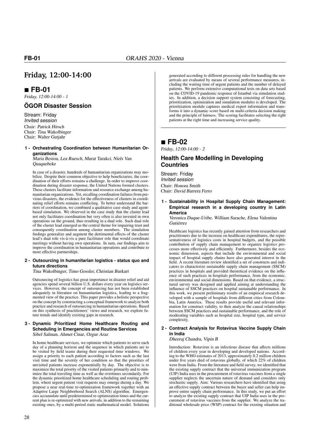### **Friday, 12:00-14:00**

### **FB-01**

Friday, 12:00-14:00 - 1

### **ÖGOR Disaster Session**

Stream: Friday Invited session Chair: Patrick Hirsch Chair: Tina Wakolbinger Chair: Walter Gutjahr

#### **1 - Orchestrating Coordination between Humanitarian Organizations**

Maria Besiou, Lea Ruesch, Murat Tarakci, Niels Van Quaquebeke

In case of a disaster, hundreds of humanitarian organizations may mobilize. Despite their common objective to help beneficiaries, the coordination of their efforts remains a challenge. In order to improve coordination during disaster response, the United Nations formed clusters. These clusters facilitate information and resource exchange among humanitarian organizations. Yet, recalling coordination failures from previous disasters, the evidence for the effectiveness of clusters in coordinating relief efforts remains conflicting. To better understand the barriers of coordination, we combined a qualitative case study and agentbased simulation. We observed in the case study that the cluster lead not only facilitates coordination but very often is also invested in own operations on the ground, thus resulting in a dual role. Such dual role of the cluster lead emerged as the central theme for impairing trust and consequently coordination among cluster members. The simulation findings generalize and augment the detrimental effects of the cluster lead's dual role vis-à-vis a pure facilitator role that would coordinate meetings without having own operations. In sum, our findings aim to improve the coordination in humanitarian operations and contribute to more effective partnerships.

#### **2 - Outsourcing in humanitarian logistics - status quo and future directions**

Tina Wakolbinger, Timo Gossler, Christian Burkart

Outsourcing of logistics has great importance in disaster relief and aid agencies spend several billion U.S. dollars every year on logistics services. However, the concept of outsourcing has not been established adequately in literature on humanitarian logistics, leading to a fragmented view of the practice. This paper provides a holistic perspective on the concept by constructing a conceptual framework to analyze both practice and research of outsourcing in humanitarian operations. Based on this synthesis of practitioners' views and research, we explore future trends and identify existing gaps in research.

#### **3 - Dynamic Prioritized Home Healthcare Routing and Scheduling in Emergencies and Routine Services** Sibel Salman, Ahmet Cinar, Ozgur Araz

In home healthcare services, we optimize which patients to serve each day of a planning horizon and the sequence in which patients are to be visited by field teams during their requested time windows. We assign a priority to each patient according to factors such as the last visit time and the severity of her condition so that the priorities of unvisited patients increase exponentially by day. The objective is to maximize the total priority of the visited patients primarily and to minimize the total traveling time as well as the overtimes secondarily. For the dynamic prioritized home healthcare scheduling and routing problem, where urgent patient visit requests may emerge during a day. We propose a near real-time re-optimization framework together with an Adaptive Large Neighborhood Search (ALNS) algorithm. Emergencies accumulate until predetermined re-optimization times and the current plan is re-optimized with new arrivals, in addition to the remaining existing ones, by a multi-period static mathematical model. Solutions

generated according to different processing rules for handling the new arrivals are evaluated by means of several performance measures, including the waiting time of urgent patients and the number of delayed patients. We perform extensive computational tests on data sets based on the COVID-19 pandemic response of Istanbul via simulation studies. In addition, a decision support system consisting of forecasting, prioritization, optimization and simulation modules is developed. The prioritization module captures medical expert information and transforms it into a dynamic score based on multi-criteria decision making and the principle of fairness. The scoring facilitates selecting the right patients at the right time and increasing service quality.

### **FB-02**

Friday, 12:00-14:00 - 2

### **Health Care Modelling in Developing Countries**

Stream: Friday Invited session Chair: Honora Smith Chair: David Barrera Ferro

**1 - Sustainability in Hospital Supply Chain Management: Empirical research in a developing country in Latin America**

Veronica Duque-Uribe, William Sarache, Elena Valentina Gutiérrez

Healthcare logistics has recently gained attention from researchers and practitioners due to the increase on healthcare expenditures, the representativeness of logistics costs in hospital budgets, and the possible contribution of supply chain management to organize logistics processes more effectively and efficiently. Furthermore, besides the economic dimension, aspects that include the environmental and social impact of hospital supply chains have also generated interest in the field. A recent literature review identified a set of constructs and indicators to characterize sustainable supply chain management (SSCM) practices in hospitals and provided theoretical evidence on the influence of such practices in hospitals performance, from the economic, environmental and social dimensions. Based on that evidence, a structured survey was designed and applied aiming at understanding the influence of SSCM practices on hospital sustainable performance. In this work, we present preliminary results of an empirical research developed with a sample of hospitals from different cities from Colombia, Latin America. These results provide useful and relevant information for construct validity, to then analyze the causal relationships between SSCM practices and sustainable performance, and the role of moderating variables such as hospital size, hospital type, and service complexity.

#### **2 - Contract Analysis for Rotavirus Vaccine Supply Chain in India**

#### Dheeraj Chandra, Vipin B

Introduction: Rotavirus is an infectious disease that affects millions of children every year in developing and developed nations. According to the WHO estimates of 2013, approximately 0.2 million children under five years died of rotavirus globally, of which 22% of children were from India. From the literature and field survey, we identified that the existing supply contract that the universal immunization program (UIP) India uses in the procurement of rotavirus vaccines from a single supplier neglects the uncertain nature of demand and considers only stochastic supply. Aim: Various researchers have identified that using an effective supply contract between the buyer and seller can help improve entire supply chain performance. In this study, we put an effort to analyze the existing supply contract that UIP India uses in the procurement of rotavirus vaccines from the supplier. We analyze the traditional wholesale price (WSP) contract for the existing situation and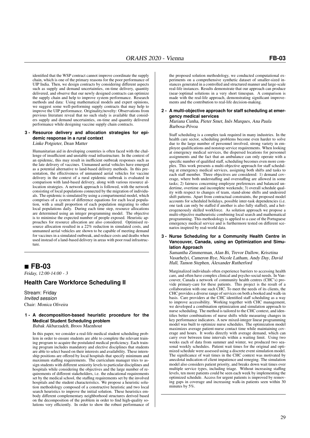identified that the WSP contract cannot improve coordinate the supply chain, which is one of the primary reasons for the poor performance of UIP India. Then, we design contracts by considering different aspects such as supply and demand uncertainties, on-time delivery, quantity delivered, and observe that our newly designed contracts can optimize the supply chain and help to improve system performance. Research methods and data: Using mathematical models and expert opinions, we suggest some well-performing supply contracts that may help to improve the UIP performance. Originality/novelty: Observations from previous literature reveal that no such study is available that considers supply and demand uncertainties, on-time and quantity delivered performance while designing vaccine supply chain contracts.

#### **3 - Resource delivery and allocation strategies for epidemic response in a rural context**

Linke Potgieter, Dean Matter

Humanitarian aid in developing countries is often faced with the challenge of insufficient and unstable road infrastructure. In the context of an epidemic, this may result in inefficient outbreak responses such as the late delivery of vaccines. Unmanned aerial vehicles have emerged as a potential alternative to land-based delivery methods. In this presentation, the effectiveness of unmanned aerial vehicles for vaccine delivery in the context of a rural epidemic outbreak is evaluated in comparison with land-based delivery, along with various resource allocation strategies. A network approach is followed, with the network consisting of local populations connected by the migration of individuals. The epidemic is simulated by using a compartmental model, which comprises of a system of difference equations for each local population, with a small proportion of each population migrating to other local populations daily. During each time step, resource allocations are determined using an integer programming model. The objective is to minimise the expected number of people exposed. Heuristic approaches for resource allocation are also considered. Optimised resource allocation resulted in a 22% reduction in simulated costs, and unmanned aerial vehicles are shown to be capable of meeting demand for vaccines in a simulated outbreak, and reduce costs and deaths when used instead of a land-based delivery in areas with poor road infrastructure.

### **FB-03**

Friday, 12:00-14:00 - 3

### **Health Care Workforce Scheduling II**

Stream: Friday Invited session Chair: Monica Oliveira

#### **1 - A decomposition-based heuristic procedure for the Medical Student Scheduling problem** Babak Akbarzadeh, Broos Maenhout

In this paper, we consider a real-life medical student scheduling problem in order to ensure students are able to complete the relevant training program to acquire the postulated medical proficiency. Each training program includes mandatory and elective disciplines that students are able to select based on their interests and availability. These internship positions are offered by local hospitals that specify minimum and maximum staffing requirements. The curriculum manager tries to assign students with different seniority levels to particular disciplines and hospitals while considering the objectives and the large number of requirements of different stakeholders, i.e. the educational requirements set by the medical school, the staffing requirements set by the involved hospitals and the student characteristics. We propose a heuristic solution methodology composed of a constructive heuristic and two local search heuristics to improve the initial solution. These heuristics embody different complementary neighborhood structures derived based on the decomposition of the problem in order to find high-quality solutions very efficiently. In order to show the robust performance of the proposed solution methodology, we conducted computational experiments on a comprehensive synthetic dataset of smaller-sized instances generated in a controlled and structured manner and large-scale real-life instances. Results demonstrate that our approach can produce (near-)optimal solutions in a very short timespan. A comparison is made with the real-life approach, demonstrating significant improvements and the contribution to real-life decision-making.

#### **2 - A multi-objective approach for staff scheduling at emergency medical services**

Mariana Cunha, Pieter Smet, Inês Marques, Ana Paula Barbosa-Póvoa

Staff scheduling is a complex task required in many industries. In the health care sector, scheduling problems become even harder to solve due to the large number of personnel involved, strong variety in employee qualifications and nonstop service requirements. When looking at emergency medical services, the dispersed locations for personnel assignments and the fact that an ambulance can only operate with a specific number of qualified staff, scheduling becomes even more complex. This work presents a multi-objective approach for staff scheduling at emergency medical services, assigning both shifts and tasks to each staff member. Three objectives are considered: 1) demand coverage, where both understaffing and overstaffing are allowed in some tasks; 2) fairness concerning employee preferences and balanced undertime, overtime and incomplete weekends; 3) overall schedule quality with respect to changes of team, stand-alone shifts and undesired shift patterns. Apart from contractual constraints, the proposed model accounts for scheduled holidays, possible inter-task dependencies (i.e. one task can only be staffed if another is also fully staffed), and a heterogeneously skilled workforce. As solution approach we propose a multi-objective matheuristic combining local search and mathematical programming. This methodology is applied to a case of the Portuguese emergency medical service and is furthermore tested on different scenarios inspired by real-world data.

**3 - Nurse Scheduling for a Community Health Centre in Vancouver, Canada, using an Optimization and Simulation Approach**

Samantha Zimmerman, Alan Bi, Trevor Dallow, Krisztina Vasarhelyi, Cameron Bye, Nicole Latham, Andy Day, David Hall, Tamon Stephen, Alexander Rutherford

Marginalized individuals often experience barriers to accessing health care, and often have complex clinical and psycho-social needs. In Vancouver, Canada a network of community health centres (CHC's) provide primary-care for these patients. This project is the result of a collaboration with one such CHC. To meet the needs of its clients, the CHC provides a diverse range of services on both a booked and walk-in basis. Care providers at the CHC identified staff scheduling as a way to improve accessibility. Working together with CHC management, we developed a combination optimization and simulation approach to nurse scheduling. The method is tailored to the CHC context, and identifies better combinations of nurse shifts while measuring changes in key performance indicators. A new mixed-integer linear programming model was built to optimize nurse schedules. The optimization model maximizes average patient-nurse contact time while maintaining coverage and hours. It works directly with average demand, which can carry over between time intervals within a waiting limit. Using two weeks each of data from summer and winter, we produced two seasonal weekly schedules. Patient wait times for the original and optimized schedule were assessed using a discrete event simulation model. The significance of wait times in the CHC context was motivated by anecdotal indication of client impatience and reneging. The simulation model also considers patient priority, and breaks down wait times over multiple service types, including triage. Without increasing staffing levels, ten more patients could be seen each week by implementing the optimized schedule. Access for urgent patients is improved by removing gaps in coverage and increasing walk-in patients seen within 30 minutes by 5%.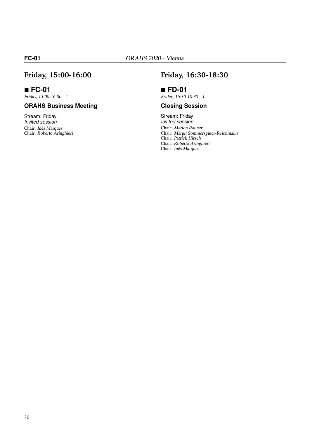## **Friday, 15:00-16:00**

### **FC-01**

Friday, 15:00-16:00 - 1

### **ORAHS Business Meeting**

Stream: Friday Invited session Chair: Inês Marques Chair: Roberto Aringhieri

### **Friday, 16:30-18:30**

## **FD-01**

Friday, 16:30-18:30 - 1

### **Closing Session**

Stream: Friday Invited session Chair: Marion Rauner Chair: Margit Sommersguter-Reichmann Chair: Patrick Hirsch Chair: Roberto Aringhieri Chair: Inês Marques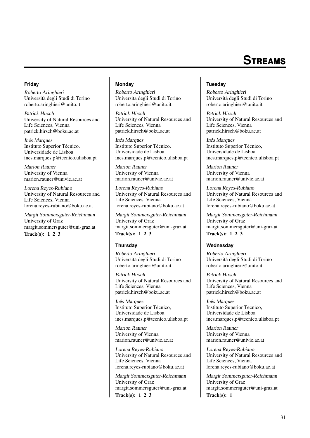# **S**treams

#### **Friday**

Roberto Aringhieri Università degli Studi di Torino roberto.aringhieri@unito.it

Patrick Hirsch University of Natural Resources and Life Sciences, Vienna patrick.hirsch@boku.ac.at

Inês Marques Instituto Superior Técnico, Universidade de Lisboa ines.marques.p@tecnico.ulisboa.pt

Marion Rauner University of Vienna marion.rauner@univie.ac.at

Lorena Reyes-Rubiano University of Natural Resources and Life Sciences, Vienna lorena.reyes-rubiano@boku.ac.at

Margit Sommersguter-Reichmann University of Graz margit.sommersguter@uni-graz.at Track(s): 1 2 3

#### **Monday**

Roberto Aringhieri Università degli Studi di Torino roberto.aringhieri@unito.it

Patrick Hirsch University of Natural Resources and Life Sciences, Vienna patrick.hirsch@boku.ac.at

Inês Marques Instituto Superior Técnico, Universidade de Lisboa ines.marques.p@tecnico.ulisboa.pt

Marion Rauner University of Vienna marion.rauner@univie.ac.at

Lorena Reyes-Rubiano University of Natural Resources and Life Sciences, Vienna lorena.reyes-rubiano@boku.ac.at

Margit Sommersguter-Reichmann University of Graz margit.sommersguter@uni-graz.at Track(s):  $1\ 2\ 3$ 

#### **Thursday**

Roberto Aringhieri Università degli Studi di Torino roberto.aringhieri@unito.it

Patrick Hirsch University of Natural Resources and Life Sciences, Vienna patrick.hirsch@boku.ac.at

Inês Marques Instituto Superior Técnico, Universidade de Lisboa ines.marques.p@tecnico.ulisboa.pt

Marion Rauner University of Vienna marion.rauner@univie.ac.at

Lorena Reyes-Rubiano University of Natural Resources and Life Sciences, Vienna lorena.reyes-rubiano@boku.ac.at

Margit Sommersguter-Reichmann University of Graz margit.sommersguter@uni-graz.at Track(s): 1 2 3

#### **Tuesday**

Roberto Aringhieri Università degli Studi di Torino roberto.aringhieri@unito.it

Patrick Hirsch University of Natural Resources and Life Sciences, Vienna patrick.hirsch@boku.ac.at

Inês Marques Instituto Superior Técnico, Universidade de Lisboa ines.marques.p@tecnico.ulisboa.pt

Marion Rauner University of Vienna marion.rauner@univie.ac.at

Lorena Reyes-Rubiano University of Natural Resources and Life Sciences, Vienna lorena.reyes-rubiano@boku.ac.at

Margit Sommersguter-Reichmann University of Graz margit.sommersguter@uni-graz.at Track(s): 1 2 3

#### **Wednesday**

Roberto Aringhieri Università degli Studi di Torino roberto.aringhieri@unito.it

Patrick Hirsch University of Natural Resources and Life Sciences, Vienna patrick.hirsch@boku.ac.at

Inês Marques Instituto Superior Técnico, Universidade de Lisboa ines.marques.p@tecnico.ulisboa.pt

Marion Rauner University of Vienna marion.rauner@univie.ac.at

Lorena Reyes-Rubiano University of Natural Resources and Life Sciences, Vienna lorena.reyes-rubiano@boku.ac.at

Margit Sommersguter-Reichmann University of Graz margit.sommersguter@uni-graz.at Track(s): 1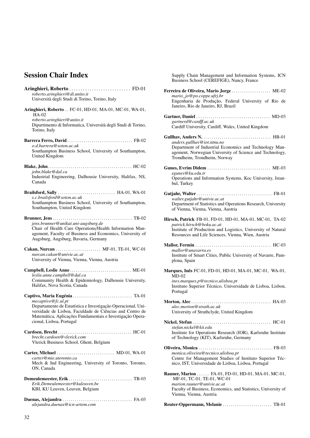## Session Chair Index

| Aringhieri, Roberto  FD-01                                                                                                                                                                                        |
|-------------------------------------------------------------------------------------------------------------------------------------------------------------------------------------------------------------------|
| roberto.aringhieri@di.unito.it<br>Università degli Studi di Torino, Torino, Italy                                                                                                                                 |
|                                                                                                                                                                                                                   |
| Aringhieri, Roberto FC-01, HD-01, MA-01, MC-01, WA-01,<br>HA-02                                                                                                                                                   |
| roberto.aringhieri@unito.it                                                                                                                                                                                       |
| Dipartimento di Informatica, Università degli Studi di Torino,<br>Torino, Italy                                                                                                                                   |
| o.d.barrera@soton.ac.uk                                                                                                                                                                                           |
| Southampton Business School, University of Southampton,<br>United Kingdom                                                                                                                                         |
|                                                                                                                                                                                                                   |
| john.blake@dal.ca<br>Industrial Engineering, Dalhousie University, Halifax, NS,<br>Canada                                                                                                                         |
| <b>Brailsford, Sally</b> HA-01, WA-01                                                                                                                                                                             |
| s.c.brailsford@soton.ac.uk                                                                                                                                                                                        |
| Southampton Business School, University of Southampton,<br>Southampton, United Kingdom                                                                                                                            |
|                                                                                                                                                                                                                   |
| jens.brunner@unikat.uni-augsburg.de                                                                                                                                                                               |
| Chair of Health Care Operations/Health Information Man-<br>agement, Faculty of Business and Economics, University of                                                                                              |
| Augsburg, Augsburg, Bavaria, Germany                                                                                                                                                                              |
| Cakan, Nurcan  MF-01, TE-01, WC-01                                                                                                                                                                                |
| nurcan.cakan@univie.ac.at<br>University of Vienna, Vienna, Vienna, Austria                                                                                                                                        |
| Campbell, Leslie Anne ME-01                                                                                                                                                                                       |
| leslie.anne.campbell@dal.ca                                                                                                                                                                                       |
| Community Health & Epidemiology, Dalhousie University,<br>Halifax, Nova Scotia, Canada                                                                                                                            |
|                                                                                                                                                                                                                   |
| mecaptivo@fc.ul.pt                                                                                                                                                                                                |
| Departamento de Estatística e Investigação Operacional, Uni-<br>versidade de Lisboa, Faculdade de Ciências and Centro de<br>Matemática, Aplicações Fundamentais e Investigação Opera-<br>cional, Lisboa, Portugal |
|                                                                                                                                                                                                                   |
| brecht.cardoen@vlerick.com<br>Vlerick Business School, Ghent, Belgium                                                                                                                                             |
| Carter, Michael  MD-01, WA-01                                                                                                                                                                                     |
| carter@mie.utoronto.ca                                                                                                                                                                                            |
| Mech & Ind Engineering, University of Toronto, Toronto,<br>ON, Canada                                                                                                                                             |
|                                                                                                                                                                                                                   |
| Erik.Demeylemeester@kuleuven.be<br>KBI, KU Leuven, Leuven, Belgium                                                                                                                                                |
|                                                                                                                                                                                                                   |
| alejandra.duenas@icn-artem.com                                                                                                                                                                                    |

Supply Chain Management and Information Systems, ICN Business School (CEREFIGE), Nancy, France

| Ferreira de Oliveira, Mario Jorge  ME-02<br>mario_jo@po.coppe.ufrj.br                                                                                                            |
|----------------------------------------------------------------------------------------------------------------------------------------------------------------------------------|
| Engenharia de Produção, Federal University of Rio de<br>Janeiro, Rio de Janeiro, RJ, Brazil                                                                                      |
| gartnerd@cardff.ac.uk<br>Cardiff University, Cardiff, Wales, United Kingdom                                                                                                      |
|                                                                                                                                                                                  |
| anders.gullhav@iot.ntnu.no<br>Department of Industrial Economics and Technology Man-<br>agement, Norwegian University of Science and Technology,<br>Trondheim, Trondheim, Norway |
|                                                                                                                                                                                  |
| egunes@ku.edu.tr<br>Operations and Information Systems, Koc University, Istan-<br>bul, Turkey                                                                                    |
|                                                                                                                                                                                  |
| walter.gutjahr@univie.ac.at<br>Department of Statistics and Operations Research, University<br>of Vienna, Vienna, Vienna, Austria                                                |
| Hirsch, Patrick FB-01, FD-01, HD-01, MA-01, MC-01, TA-02                                                                                                                         |
| patrick.hirsch@boku.ac.at<br>Institute of Production and Logistics, University of Natural<br>Resources and Life Sciences, Vienna, Wien, Austria                                  |
|                                                                                                                                                                                  |
| mallor@unavarra.es<br>Institute of Smart Cities, Public University of Navarre, Pam-<br>plona, Spain                                                                              |
| Marques, Inês FC-01, FD-01, HD-01, MA-01, MC-01, WA-01,<br>$MD-02$                                                                                                               |
| ines.marques.p@tecnico.ulisboa.pt<br>Instituto Superior Técnico, Universidade de Lisboa, Lisbon,<br>Portugal                                                                     |
|                                                                                                                                                                                  |
| alec.morton@strath.ac.uk<br>University of Strathclyde, United Kingdom                                                                                                            |
|                                                                                                                                                                                  |
| stefan.nickel@kit.edu<br>Institute for Operations Research (IOR), Karlsruhe Institute<br>of Technology (KIT), Karlsruhe, Germany                                                 |
|                                                                                                                                                                                  |
| monica.oliveira@tecnico.ulisboa.pt<br>Centre for Management Studies of Instituto Superior Téc-<br>nico, IST, Universidade de Lisboa, Lisboa, Portugal                            |
| Rauner, Marion  FA-01, FD-01, HD-01, MA-01, MC-01,<br>MF-01, TC-01, TE-01, WC-01                                                                                                 |
| marion.rauner@univie.ac.at<br>Faculty of Business, Economics, and Statistics, University of<br>Vienna, Vienna, Austria                                                           |
|                                                                                                                                                                                  |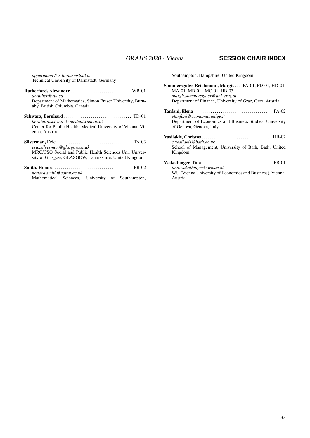*oppermann@is.tu-darmstadt.de* Technical University of Darmstadt, Germany

| Department of Mathematics, Simon Fraser University, Burn-                                                       |
|-----------------------------------------------------------------------------------------------------------------|
|                                                                                                                 |
| Center for Public Health, Medical University of Vienna, Vi-                                                     |
|                                                                                                                 |
| MRC/CSO Social and Public Health Sciences Uni, Univer-<br>sity of Glasgow, GLASGOW, Lanarkshire, United Kingdom |
|                                                                                                                 |

### Smith, Honora . . . . . . . . . . . . . . . . . . . . . . . . . . . . . . . . . . . . . . FB-02 *honora.smith@soton.ac.uk*

University of Southampton,

Southampton, Hampshire, United Kingdom

Sommersguter-Reichmann, Margit . . . FA-01, FD-01, HD-01, MA-01, MB-01, MC-01, HB-03 *margit.sommersguter@uni-graz.at* Department of Finance, University of Graz, Graz, Austria Tanfani, Elena . . . . . . . . . . . . . . . . . . . . . . . . . . . . . . . . . . . . . . FA-02 *etanfani@economia.unige.it* Department of Economics and Business Studies, University of Genova, Genova, Italy Vasilakis, Christos . . . . . . . . . . . . . . . . . . . . . . . . . . . . . . . . . . HB-02 *c.vasilakis@bath.ac.uk* School of Management, University of Bath, Bath, United Kingdom Wakolbinger, Tina . . . . . . . . . . . . . . . . . . . . . . . . . . . . . . . . . . FB-01 *tina.wakolbinger@wu.ac.at* WU (Vienna University of Economics and Business), Vienna, Austria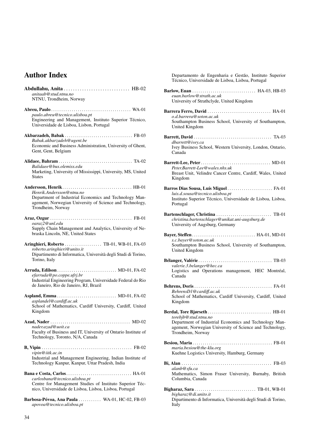## Author Index

| anitaab@stud.ntnu.no                                                          |
|-------------------------------------------------------------------------------|
| NTNU, Trondheim, Norway                                                       |
|                                                                               |
|                                                                               |
| paulo.abreu@tecnico.ulisboa.pt                                                |
| Engineering and Management, Instituto Superior Técnico,                       |
| Universidade de Lisboa, Lisbon, Portugal                                      |
|                                                                               |
| Babak.akbarzadeh@ugent.be                                                     |
| Economic and Business Administration, University of Ghent,                    |
| Gent, Gent, Belgium                                                           |
|                                                                               |
|                                                                               |
| Balidaee@bus.olemiss.edu                                                      |
| Marketing, University of Mississippi, University, MS, United                  |
| <b>States</b>                                                                 |
|                                                                               |
|                                                                               |
| Henrik.Andersson@ntnu.no                                                      |
| Department of Industrial Economics and Technology Man-                        |
| agement, Norwegian University of Science and Technology,<br>Trondheim, Norway |
|                                                                               |
|                                                                               |
| oaraz2@unl.edu                                                                |
| Supply Chain Management and Analytics, University of Ne-                      |
| braska Lincoln, NE, United States                                             |
|                                                                               |
| Aringhieri, Roberto  TB-01, WB-01, FA-03                                      |
| roberto.aringhieri@unito.it                                                   |
| Dipartimento di Informatica, Università degli Studi di Torino,                |
| Torino, Italy                                                                 |
|                                                                               |
|                                                                               |
| efarruda@po.coppe.ufrj.br                                                     |
| Industrial Engineering Program, Universidade Federal do Rio                   |
| de Janeiro, Rio de Janeiro, RJ, Brazil                                        |
|                                                                               |
| asplandel@cardiff.ac.uk                                                       |
| School of Mathematics, Cardiff University, Cardiff, United                    |
| Kingdom                                                                       |
|                                                                               |
|                                                                               |
| nader.azad@uoit.ca                                                            |
| Faculty of Business and IT, University of Ontario Institute of                |
| Technology, Toronto, N/A, Canada                                              |
|                                                                               |
|                                                                               |
| vipin@iitk.ac.in                                                              |
| Industrial and Management Engineering, Indian Institute of                    |
| Technology Kanpur, Kanpur, Uttar Pradesh, India                               |
|                                                                               |
| carlosbana@tecnico.ulisboa.pt                                                 |
| Centre for Management Studies of Instituto Superior Téc-                      |
| nico, Universidade de Lisboa, Lisboa, Lisboa, Portugal                        |
|                                                                               |
|                                                                               |
| Barbosa-Póvoa, Ana Paula  WA-01, HC-02, FB-03                                 |
| apovoa@tecnico.ulisboa.pt                                                     |

Departamento de Engenharia e Gestão, Instituto Superior Técnico, Universidade de Lisboa, Lisboa, Portugal

| euan.barlow@strath.ac.uk                                                                                                                                        |
|-----------------------------------------------------------------------------------------------------------------------------------------------------------------|
| University of Strathclyde, United Kingdom                                                                                                                       |
| Barrera Ferro, David  HA-01<br>o.d.barrera@soton.ac.uk<br>Southampton Business School, University of Southampton,<br>United Kingdom                             |
| dbarrett@ivey.ca<br>Ivey Business School, Western University, London, Ontario,<br>Canada                                                                        |
| Peter.Barrett-Lee@wales.nhs.uk<br>Breast Unit, Velindre Cancer Centre, Cardiff, Wales, United<br>Kingdom                                                        |
| Barros Dias Sousa, Luís Miguel FA-01<br>luis.d.sousa@tecnico.ulisboa.pt<br>Instituto Superior Técnico, Universidade de Lisboa, Lisboa,<br>Portugal              |
| christina.bartenschlager@unikat.uni-augsburg.de<br>University of Augsburg, Germany                                                                              |
| s.c.bayer@soton.ac.uk<br>Southampton Business School, University of Southampton,<br>United Kingdom                                                              |
| valerie.3.belanger@hec.ca<br>Logistics and Operations management, HEC Montréal,<br>Canada                                                                       |
| BehrensD1@cardiff.ac.uk<br>School of Mathematics, Cardiff University, Cardiff, United<br>Kingdom                                                                |
| torebjb@stud.ntnu.no<br>Department of Industrial Economics and Technology Man-<br>agement, Norwegian University of Science and Technology,<br>Trondheim, Norway |
| maria.besiou@the-klu.org<br>Kuehne Logistics University, Hamburg, Germany                                                                                       |
| alanb@sfu.ca<br>Mathematics, Simon Fraser University, Burnaby, British<br>Columbia, Canada                                                                      |
| bigharaz@di.unito.it<br>Dipartimento di Informatica, Università degli Studi di Torino,<br>Italy                                                                 |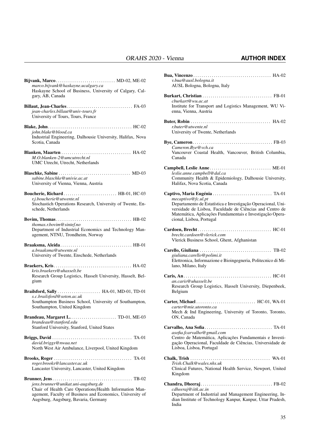| Bijvank, Marco MD-02, ME-02                                                                                                                                                                         |
|-----------------------------------------------------------------------------------------------------------------------------------------------------------------------------------------------------|
| marco.bijvank@haskayne.ucalgary.ca<br>Haskayne School of Business, University of Calgary, Cal-<br>gary, AB, Canada                                                                                  |
| jean-charles.billaut@univ-tours.fr<br>University of Tours, Tours, France                                                                                                                            |
| iohn.blake@blood.ca<br>Industrial Engineering, Dalhousie University, Halifax, Nova<br>Scotia, Canada                                                                                                |
| M.O.blanken-2@umcutrecht.nl<br>UMC Utrecht, Utrecht, Netherlands                                                                                                                                    |
| sabine.blaschke@univie.ac.at<br>University of Vienna, Vienna, Austria                                                                                                                               |
| Boucherie, Richard HB-01, HC-03<br>r.j.boucherie@utwente.nl<br>Stochastich Operations Research, University of Twente, En-<br>schede, Netherlands                                                    |
| thomas.r.bovim@sintef.no<br>Department of Industrial Economics and Technology Man-<br>agement, NTNU, Trondheim, Norway                                                                              |
| a.braaksma@utwente.nl<br>University of Twente, Enschede, Netherlands                                                                                                                                |
| kris.braekers@uhasselt.be<br>Research Group Logistics, Hasselt University, Hasselt, Bel-<br>gium                                                                                                    |
| Brailsford, Sally  HA-01, MD-01, TD-01<br>s.c.brailsford@soton.ac.uk<br>Southampton Business School, University of Southampton,<br>Southampton, United Kingdom                                      |
| brandeau@stanford.edu<br>Stanford University, Stanford, United States                                                                                                                               |
| david.briggs@nwaa.net<br>North West Air Ambulance, Liverpool, United Kingdom                                                                                                                        |
| roger.brooks@lancaster.ac.uk<br>Lancaster University, Lancaster, United Kingdom                                                                                                                     |
| jens.brunner@unikat.uni-augsburg.de<br>Chair of Health Care Operations/Health Information Man-<br>agement, Faculty of Business and Economics, University of<br>Augsburg, Augsburg, Bavaria, Germany |

| v.bua@ausl.bologna.it<br>AUSL Bologna, Bologna, Italy                                                                                                                                                                                   |  |
|-----------------------------------------------------------------------------------------------------------------------------------------------------------------------------------------------------------------------------------------|--|
|                                                                                                                                                                                                                                         |  |
| cburkart@wu.ac.at<br>Institute for Transport and Logistics Management, WU Vi-<br>enna, Vienna, Austria                                                                                                                                  |  |
| r.buter@utwente.nl<br>University of Twente, Netherlands                                                                                                                                                                                 |  |
| Cameron.Bye@vch.ca<br>Vancouver Coastal Health, Vancouver, British Columbia,<br>Canada                                                                                                                                                  |  |
| Campbell, Leslie Anne ME-01<br>leslie.anne.campbell@dal.ca<br>Community Health & Epidemiology, Dalhousie University,<br>Halifax, Nova Scotia, Canada                                                                                    |  |
| mecaptivo@fc.ul.pt<br>Departamento de Estatística e Investigação Operacional, Uni-<br>versidade de Lisboa, Faculdade de Ciências and Centro de<br>Matemática, Aplicações Fundamentais e Investigação Opera-<br>cional, Lisboa, Portugal |  |
| brecht.cardoen@vlerick.com<br>Vlerick Business School, Ghent, Afghanistan                                                                                                                                                               |  |
| giuliana.carello@polimi.it<br>Elettronica, Informazione e Bioingegneria, Politecnico di Mi-<br>lano, Milano, Italy                                                                                                                      |  |
| an.caris@uhasselt.be<br>Research Group Logistics, Hasselt University, Diepenbeek,<br>Belgium                                                                                                                                            |  |
| carter@mie.utoronto.ca<br>Mech & Ind Engineering, University of Toronto, Toronto,<br>ON, Canada                                                                                                                                         |  |
| asofia.fcarvalho@gmail.com<br>Centro de Matemática, Aplicações Fundamentais e Investi-<br>gação Operacional, Faculdade de Ciências, Universidade de<br>Lisboa, Lisboa, Portugal                                                         |  |
| Trish.Chalk@wales.nhs.uk<br>Clinical Futures, National Health Service, Newport, United<br>Kingdom                                                                                                                                       |  |
| cdheeraj@iitk.ac.in<br>Department of Industrial and Management Engineering, In-<br>dian Institute of Technology Kanpur, Kanpur, Uttar Pradesh,<br>India                                                                                 |  |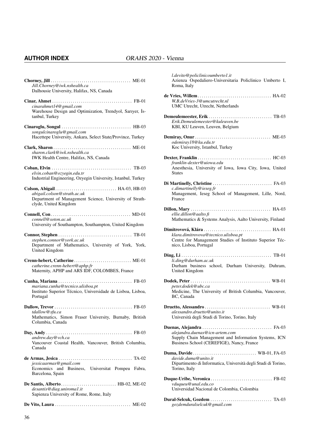### **AUTHOR INDEX** ORAHS 2020 - Vienna

| Jill.Chorney@iwk.nshealth.ca<br>Dalhousie University, Halifax, NS, Canada                                        |
|------------------------------------------------------------------------------------------------------------------|
| cinarahmet14@gmail.com<br>Warehouse Design and Optimization, Trendyol, Sarıyer, İs-<br>tanbul, Turkey            |
| songulcinaroglu@gmail.com<br>Hacettepe University, Ankara, Select State/Province, Turkey                         |
| sharon.clark@iwk.nshealth.ca<br>IWK Health Centre, Halifax, NS, Canada                                           |
| elvin.coban@ozyegin.edu.tr<br>Industrial Engineering, Ozyegin University, Istanbul, Turkey                       |
| abigail.colson@strath.ac.uk<br>Department of Management Science, University of Strath-<br>clyde, United Kingdom  |
| connell@soton.ac.uk<br>University of Southampton, Southampton, United Kingdom                                    |
| stephen.connor@york.ac.uk<br>Department of Mathematics, University of York, York,<br>United Kingdom              |
| Crenn-hebert, Catherine ME-01<br>catherine.crenn-hebert@aphp.fr<br>Maternity, APHP and ARS IDF, COLOMBES, France |
| mariana.cunha@tecnico.ulisboa.pt<br>Instituto Superior Técnico, Universidade de Lisboa, Lisboa,<br>Portugal      |
| tdallow@sfu.ca<br>Mathematics, Simon Fraser University, Burnaby, British<br>Columbia, Canada                     |
| andrew.day@vch.ca<br>Vancouver Coastal Health, Vancouver, British Columbia,<br>Canada                            |
| jessicaarmas@gmail.com<br>Economics and Business, Universitat Pompeu Fabra,<br>Barcelona, Spain                  |
| desantis@diag.uniromal.it<br>Sapienza University of Rome, Rome, Italy                                            |
|                                                                                                                  |

| l.devito@policlinicoumberto1.it<br>Azienza Ospedaliero-Universitaria Policlinico Umberto I,<br>Roma, Italy                                      |
|-------------------------------------------------------------------------------------------------------------------------------------------------|
| W.B.deVries-3@umcutrecht.nl<br>UMC Utrecht, Utrecht, Netherlands                                                                                |
| Erik.Demeulemeester@kuleuven.be<br>KBI, KU Leuven, Leuven, Belgium                                                                              |
| Demiray, Onur $\dots \dots \dots \dots \dots \dots \dots \dots \dots \dots$ . ME-03<br>odemiray18@ku.edu.tr<br>Koc University, Istanbul, Turkey |
| franklin-dexter@uiowa.edu<br>Anesthesia, University of Iowa, Iowa City, Iowa, United<br><b>States</b>                                           |
| c.dimartinelly@ieseg.fr<br>Management, Ieseg School of Management, Lille, Nord,<br>France                                                       |
| ellie.dillon@aalto.fi<br>Mathematics & Systems Analysis, Aalto University, Finland                                                              |
| klara.dimitrovova@tecnico.ulisboa.pt<br>Centre for Management Studies of Instituto Superior Téc-<br>nico, Lisboa, Portugal                      |
| li.ding@durham.ac.uk<br>Durham business school, Durham University, Duhram,<br>United Kingdom                                                    |
| peter.dodek@ubc.ca<br>Medicine, The University of British Columbia, Vancouver,<br>BC, Canada                                                    |
| alessandro.druetto@unito.it<br>Università degli Studi di Torino, Torino, Italy                                                                  |
| alejandra.duenas@icn-artem.com<br>Supply Chain Management and Information Systems, ICN<br>Business School (CEREFIGE), Nancy, France             |
| davide.duma@unito.it<br>Dipartimento di Informatica, Università degli Studi di Torino,<br>Torino, Italy                                         |
| vduqueu@unal.edu.co<br>Universidad Nacional de Colombia, Colombia                                                                               |
|                                                                                                                                                 |

*gozdemduralselcuk@gmail.com*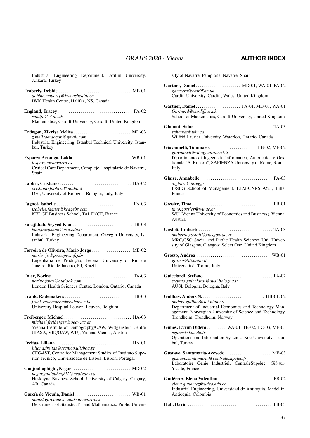| Industrial Engineering Department, Atılım University,<br>Ankara, Turkey                                                                                              |  |  |  |  |  |
|----------------------------------------------------------------------------------------------------------------------------------------------------------------------|--|--|--|--|--|
| debbie.emberly@iwk.nshealth.ca<br>IWK Health Centre, Halifax, NS, Canada                                                                                             |  |  |  |  |  |
| smatje@cf.ac.uk<br>Mathematics, Cardiff University, Cardiff, United Kingdom                                                                                          |  |  |  |  |  |
| Erdoğan, Zikriye Melisa  MD-03<br>z.melisaerdogan@gmail.com<br>Industrial Engineering, İstanbul Technical University, İstan-<br>bul, Turkey                          |  |  |  |  |  |
| lesparza@navarra.es<br>Critical Care Department, Complejo Hospitalario de Navarra,<br>Spain                                                                          |  |  |  |  |  |
| cristiano.fabbri3@unibo.it<br>DEI, University of Bologna, Bologna, Italy, Italy                                                                                      |  |  |  |  |  |
| isabelle.fagnot@kedgebs.com<br>KEDGE Business School, TALENCE, France                                                                                                |  |  |  |  |  |
| kian.farajkhan@ozu.edu.tr<br>Industrial Engineering Department, Ozyegin University, Is-<br>tanbul, Turkey                                                            |  |  |  |  |  |
| Ferreira de Oliveira, Mario Jorge  ME-02<br>mario_jo@po.coppe.ufrj.br<br>Engenharia de Produção, Federal University of Rio de<br>Janeiro, Rio de Janeiro, RJ, Brazil |  |  |  |  |  |
| norine.foley@outlook.com<br>London Health Sciences Centre, London, Ontario, Canada                                                                                   |  |  |  |  |  |
| frank.rademakers@kuleuven.be<br>University Hospital Leuven, Leuven, Belgium                                                                                          |  |  |  |  |  |
| michael.freiberger@oeaw.ac.at<br>Vienna Institute of Demography/ÖAW, Wittgenstein Centre<br>(IIASA, VID/ÖAW, WU), Vienna, Vienna, Austria                            |  |  |  |  |  |
| liliana.freitas@tecnico.ulisboa.pt<br>CEG-IST, Centre for Management Studies of Instituto Supe-<br>rior Técnico, Universidade de Lisboa, Lisbon, Portugal            |  |  |  |  |  |
| Ganjouhaghighi, Negar MD-02<br>negar.ganjouhaghil@ucalgary.ca<br>Haskayne Business School, University of Calgary, Calgary,<br>AB, Canada                             |  |  |  |  |  |
| García de Vicuña, Daniel  WB-01<br>daniel.garciadevicuna@unavarra.es<br>Department of Statistic, IT and Mathematics, Public Univer-                                  |  |  |  |  |  |

sity of Navarre, Pamplona, Navarre, Spain

| Gartner, Daniel MD-01, WA-01, FA-02<br>gartnerd@cardff.ac.uk<br>Cardiff University, Cardiff, Wales, United Kingdom                                                                                   |
|------------------------------------------------------------------------------------------------------------------------------------------------------------------------------------------------------|
| Gartner, Daniel  FA-01, MD-01, WA-01<br>Gartnerd@cardiff.ac.uk<br>School of Mathematics, Cardiff University, United Kingdom                                                                          |
| sghamat@wlu.ca<br>Wilfrid Laurier University, Waterloo, Ontario, Canada                                                                                                                              |
| Giovannelli, Tommaso  HB-02, ME-02<br>giovannelli@diag.uniroma1.it<br>Dipartimento di Ingegneria Informatica, Automatica e Ges-<br>tionale "A. Ruberti", SAPIENZA University of Rome, Roma,<br>Italy |
| a.glaize@ieseg.fr<br>IESEG School of Management, LEM-CNRS 9221, Lille,<br>France                                                                                                                     |
| timo.gossler@wu.ac.at<br>WU (Vienna University of Economics and Business), Vienna,<br>Austria                                                                                                        |
| umberto.gostoli@glasgow.ac.uk<br>MRC/CSO Social and Public Health Sciences Uni, Univer-<br>sity of Glasgow, Glasgow, Select One, United Kingdom                                                      |
| grosso@di.unito.it<br>Università di Torino, Italy                                                                                                                                                    |
| stefano.guicciardi@ausl.bologna.it<br>AUSL Bologna, Bologna, Italy                                                                                                                                   |
| anders.gullhav@iot.ntnu.no<br>Department of Industrial Economics and Technology Man-<br>agement, Norwegian University of Science and Technology,<br>Trondheim, Trondheim, Norway                     |
| Gunes, Evrim Didem WA-01, TB-02, HC-03, ME-03<br>egunes@ku.edu.tr<br>Operations and Information Systems, Koc University, Istan-<br>bul, Turkey                                                       |
| Gustavo, Santamaria-Acevedo  ME-03<br>gustavo.santamaria@centralesupelec.fr<br>Laboratoire Génie Industriel, CentraleSupelec, Gif-sur-<br>Yvette, France                                             |
| Gutiérrez, Elena Valentina  FB-02<br>elena.gutierrez@udea.edu.co<br>Industrial Engineering, Universidad de Antioquia, Medellin,<br>Antioquia, Colombia                                               |
|                                                                                                                                                                                                      |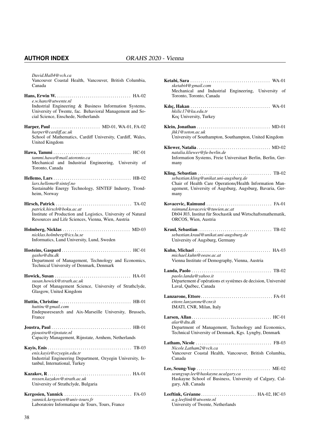*David.Hall4@vch.ca* Vancouver Coastal Health, Vancouver, British Columbia, Canada

- Hans, Erwin W. . . . . . . . . . . . . . . . . . . . . . . . . . . . . . . . . . . . . HA-02 *e.w.hans@utwente.nl* Industrial Engineering & Business Information Systems, University of Twente, fac. Behavioral Management and Social Science, Enschede, Netherlands
- Harper, Paul . . . . . . . . . . . . . . . . . . . . . . . . MD-01, WA-01, FA-02 *harper@cardi*ff*.ac.uk* School of Mathematics, Cardiff University, Cardiff, Wales, United Kingdom Hawa, Tammi . . . . . . . . . . . . . . . . . . . . . . . . . . . . . . . . . . . . . . HC-01 *tammi.hawa@mail.utoronto.ca*
- Mechanical and Industrial Engineering, University of Toronto, Canada Hellemo, Lars . . . . . . . . . . . . . . . . . . . . . . . . . . . . . . . . . . . . . . HB-02
- *lars.hellemo@sintef.no* Sustainable Energy Technology, SINTEF Industry, Trondheim, Norway
- Hirsch, Patrick . . . . . . . . . . . . . . . . . . . . . . . . . . . . . . . . . . . . . TA-02 *patrick.hirsch@boku.ac.at* Institute of Production and Logistics, University of Natural Resources and Life Sciences, Vienna, Wien, Austria
- Holmberg, Nicklas . . . . . . . . . . . . . . . . . . . . . . . . . . . . . . . . . MD-03 *nicklas.holmberg@ics.lu.se* Informatics, Lund University, Lund, Sweden
- Hosteins, Gaspard . . . . . . . . . . . . . . . . . . . . . . . . . . . . . . . . . . HC-01 *gasho@dtu.dk* Department of Management, Technology and Economics, Technical University of Denmark, Denmark
- Howick, Susan . . . . . . . . . . . . . . . . . . . . . . . . . . . . . . . . . . . . . HA-01 *susan.howick@strath.ac.uk* Dept of Management Science, University of Strathclyde, Glasgow, United Kingdom
- Huttin, Christine . . . . . . . . . . . . . . . . . . . . . . . . . . . . . . . . . . . HB-01 *huttinc@gmail.com* Endepusresearch and Aix-Marseille University, Brussels, France
- Joustra, Paul . . . . . . . . . . . . . . . . . . . . . . . . . . . . . . . . . . . . . . . HB-01 *pjoustra@rijnstate.nl* Capacity Management, Rijnstate, Arnhem, Netherlands
- Kayis, Enis . . . . . . . . . . . . . . . . . . . . . . . . . . . . . . . . . . . . . . . . . TB-03 *enis.kayis@ozyegin.edu.tr* Industrial Engineering Department, Ozyegin University, Istanbul, International, Turkey
- Kazakov, R. . . . . . . . . . . . . . . . . . . . . . . . . . . . . . . . . . . . . . . . . HA-01 *rossen.kazakov@strath.ac.uk* University of Strathclyde, Bulgaria
- Kergosien, Yannick . . . . . . . . . . . . . . . . . . . . . . . . . . . . . . . . . FA-03 *yannick.kergosien@univ-tours.fr* Laboratoire Informatique de Tours, Tours, France

|      | sketabi4@gmail.com<br>Mechanical and Industrial Engineering, University of<br>Toronto, Toronto, Canada                                                        |  |  |
|------|---------------------------------------------------------------------------------------------------------------------------------------------------------------|--|--|
|      | hkilic17@ku.edu.tr<br>Koç University, Turkey                                                                                                                  |  |  |
|      | jhk1@soton.ac.uk<br>University of Southampton, Southampton, United Kingdom                                                                                    |  |  |
| many | natalia.kliewer@fu-berlin.de<br>Information Systems, Freie Universitaet Berlin, Berlin, Ger-                                                                  |  |  |
| many | sebastian.kling@unikat.uni-augsburg.de<br>Chair of Health Care Operations/Health Information Man-<br>agement, University of Augsburg, Augsburg, Bavaria, Ger- |  |  |
|      | raimund.kovacevic@tuwien.ac.at<br>Db04 J03, Institut für Stochastik und Wirtschaftsmathematik,<br>ORCOS, Wien, Austria                                        |  |  |
|      | sebastian.kraul@unikat.uni-augsburg.de<br>University of Augsburg, Germany                                                                                     |  |  |
|      | michael.kuhn@oeaw.ac.at<br>Vienna Institute of Demography, Vienna, Austria                                                                                    |  |  |
|      | paolo.landa@yahoo.it<br>Département d'opérations et systèmes de decision, Université<br>Laval, Québec, Canada                                                 |  |  |
|      | ettore.lanzarone@cnr.it<br>IMATI, CNR, Milan, Italy                                                                                                           |  |  |
|      | alar@dtu.dk<br>Department of Management, Technology and Economics,<br>Technical University of Denmark, Kgs. Lyngby, Denmark                                   |  |  |
|      | Nicole.Latham2@vch.ca<br>Vancouver Coastal Health, Vancouver, British Columbia,<br>Canada                                                                     |  |  |
|      | seungyup.lee@haskayne.ucalgary.ca<br>Haskayne School of Business, University of Calgary, Cal-<br>gary, AB, Canada                                             |  |  |
|      | a.g.leeftink@utwente.nl                                                                                                                                       |  |  |

University of Twente, Netherlands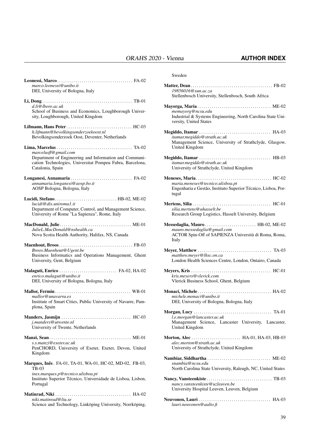| marco.leonessi@unibo.it<br>DEI, University of Bologna, Italy                                                                                                        |
|---------------------------------------------------------------------------------------------------------------------------------------------------------------------|
| d.li@lboro.ac.uk<br>School of Business and Economics, Loughborough Univer-<br>sity, Loughborough, United Kingdom                                                    |
| h.lifmann@bevolkingsonderzoekoost.nl<br>Bevolkingsonderzoek Oost, Deventer, Netherlands                                                                             |
| marcelusfl@gmail.com<br>Department of Engineering and Information and Communi-<br>cation Technologies, Universitat Pompeu Fabra, Barcelona,<br>Catalonia, Spain     |
| annamaria.longanesi@aosp.bo.it<br>AOSP Bologna, Bologna, Italy                                                                                                      |
| Lucidi, Stefano HB-02, ME-02<br>lucidi@dis.uniroma1.it<br>Department of Computer, Control, and Management Science,<br>University of Rome "La Sapienza", Rome, Italy |
| JulieL.MacDonald@nshealth.ca<br>Nova Scotia Health Authority, Halifax, NS, Canada                                                                                   |
| Broos.Maenhout@Ugent.be<br>Business Informatics and Operations Management, Ghent<br>University, Gent, Belgium                                                       |
| Malaguti, Enrico  FA-02, HA-02<br>enrico.malaguti@unibo.it<br>DEI, University of Bologna, Bologna, Italy                                                            |
| mallor@unavarra.es<br>Institute of Smart Cities, Public University of Navarre, Pam-<br>plona, Spain                                                                 |
| j.manders@utwente.nl<br>University of Twente, Netherlands                                                                                                           |
| s.s.manzi@exeter.ac.uk<br>PenCHORD, University of Exeter, Exeter, Devon, United<br>Kingdom                                                                          |
| Marques, Inês. FA-01, TA-01, WA-01, HC-02, MD-02, FB-03,<br>TB-03<br>ines.marques.p@tecnico.ulisboa.pt                                                              |

Instituto Superior Técnico, Universidade de Lisboa, Lisbon, Portugal

Matinrad, Niki . . . . . . . . . . . . . . . . . . . . . . . . . . . . . . . . . . . . . HA-02 *niki.matinrad@liu.se* Science and Technology, Linköping University, Norrköping,

```
Sweden
```

| 19856016@sun.ac.za<br>Stellenbosch University, Stellenbosch, South Africa                                                       |
|---------------------------------------------------------------------------------------------------------------------------------|
| memayorg@ncsu.edu<br>Industrial & Systems Engineering, North Carolina State Uni-<br>versity, United States                      |
| itamar.megiddo@strath.ac.uk<br>Management Science, University of Strathclyde, Glasgow,<br>United Kingdom                        |
| itamar.megiddo@strath.ac.uk<br>University of Strathclyde, United Kingdom                                                        |
| maria.meneses@tecnico.ulisboa.pt<br>Engenharia e Gestão, Instituto Superior Técnico, Lisboa, Por-<br>tugal                      |
| silia.mertens@uhasselt.be<br>Research Group Logistics, Hasselt University, Belgium                                              |
| Messedaglia, Mauro HB-02, ME-02<br>mauro.messedaglia@gmail.com<br>ACTOR Spin-Off of SAPIENZA Università di Roma, Roma,<br>Italy |
| matthew.meyer@lhsc.on.ca<br>London Health Sciences Centre, London, Ontairo, Canada                                              |
| kris.meyers@vlerick.com<br>Vlerick Business School, Ghent, Belgium                                                              |
| michele.monaci@unibo.it<br>DEI, University of Bologna, Bologna, Italy                                                           |
| l.e.morgan@lancaster.ac.uk<br>Management Science, Lancaster University, Lancaster,<br>United Kingdom                            |
| <b>Morton, Alec</b> HA-01, HA-03, HB-03<br>alec.morton@strath.ac.uk                                                             |
| University of Strathclyde, United Kingdom                                                                                       |
| Nambiar, Siddhartha  ME-02<br>snambia@ncsu.edu<br>North Carolina State University, Raleugh, NC, United States                   |
| nancy.vansteenkiste@uzleuven.be<br>University Hospital Leuven, Leuven, Belgium                                                  |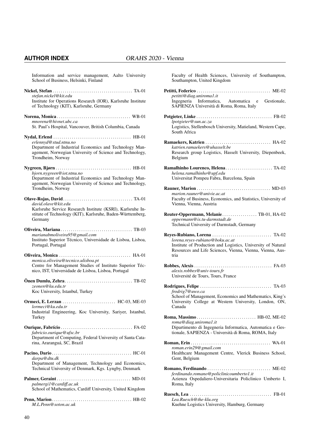Information and service management, Aalto University School of Business, Helsinki, Finland Nickel, Stefan . . . . . . . . . . . . . . . . . . . . . . . . . . . . . . . . . . . . . . . TA-01 *stefan.nickel@kit.edu* Institute for Operations Research (IOR), Karlsruhe Institute of Technology (KIT), Karlsruhe, Germany Norena, Monica . . . . . . . . . . . . . . . . . . . . . . . . . . . . . . . . . . . . WB-01 *mnorena@hivnet.ubc.ca* St. Paul's Hospital, Vancouver, British Columbia, Canada Nydal, Erlend . . . . . . . . . . . . . . . . . . . . . . . . . . . . . . . . . . . . . . HB-01 *erlennyd@stud.ntnu.no* Department of Industrial Economics and Technology Management, Norwegian University of Science and Technology, Trondheim, Norway Nygreen, Bjørn . . . . . . . . . . . . . . . . . . . . . . . . . . . . . . . . . . . . . HB-01 *bjorn.nygreen@iot.ntnu.no* Department of Industrial Economics and Technology Management, Norwegian University of Science and Technology, Trondheim, Norway Olave-Rojas, David. . . . . . . . . . . . . . . . . . . . . . . . . . . . . . . . . . TA-01 *david.olave@kit.edu* Karlsruhe Service Research Institute (KSRI), Karlsruhe Institute of Technology (KIT), Karlsruhe, Baden-Württemberg, Germany Oliveira, Mariana . . . . . . . . . . . . . . . . . . . . . . . . . . . . . . . . . . . TB-03 *marianabmoliveira95@gmail.com* Instituto Superior Técnico, Universidade de Lisboa, Lisboa, Portugal, Portugal Oliveira, Monica . . . . . . . . . . . . . . . . . . . . . . . . . . . . . . . . . . . HA-01 *monica.oliveira@tecnico.ulisboa.pt* Centre for Management Studies of Instituto Superior Técnico, IST, Universidade de Lisboa, Lisboa, Portugal Önen Dumlu, Zehra. . . . . . . . . . . . . . . . . . . . . . . . . . . . . . . . . TB-02 *zeonen@ku.edu.tr* Koc University, Istanbul, Turkey Ormeci, E. Lerzan . . . . . . . . . . . . . . . . . . . . . . . . . . HC-03, ME-03 *lormeci@ku.edu.tr* Industrial Engineering, Koc University, Sariyer, Istanbul, Turkey Ourique, Fabrício . . . . . . . . . . . . . . . . . . . . . . . . . . . . . . . . . . . FA-02 *fabricio.ourique@ufsc.br* Department of Computing, Federal University of Santa Catarina, Araranguá, SC, Brazil Pacino, Dario . . . . . . . . . . . . . . . . . . . . . . . . . . . . . . . . . . . . . . . HC-01 *darpa@dtu.dk* Department of Management, Technology and Economics, Technical University of Denmark, Kgs. Lyngby, Denmark Palmer, Geraint . . . . . . . . . . . . . . . . . . . . . . . . . . . . . . . . . . . . MD-01 *palmergi1@cardi*ff*.ac.uk* School of Mathematics, Cardiff University, United Kingdom Penn, Marion. . . . . . . . . . . . . . . . . . . . . . . . . . . . . . . . . . . . . . . HB-02 *M.L.Penn@soton.ac.uk*

Faculty of Health Sciences, University of Southampton, Southampton, United Kingdom Petitti, Federico . . . . . . . . . . . . . . . . . . . . . . . . . . . . . . . . . . . . ME-02

- *petitti@diag.uniroma1.it* Ingegneria Informatica, Automatica e Gestionale, SAPIENZA Università di Roma, Roma, Italy Potgieter, Linke . . . . . . . . . . . . . . . . . . . . . . . . . . . . . . . . . . . . . FB-02 *lpotgieter@sun.ac.za* Logistics, Stellenbosch University, Matieland, Western Cape, South Africa Ramaekers, Katrien . . . . . . . . . . . . . . . . . . . . . . . . . . . . . . . . HA-02 *katrien.ramaekers@uhasselt.be* Research group Logistics, Hasselt University, Diepenbeek, Belgium Ramalhinho Lourenco, Helena. . . . . . . . . . . . . . . . . . . . . . . TA-02 *helena.ramalhinho@upf.edu* Universitat Pompeu Fabra, Barcelona, Spain Rauner, Marion . . . . . . . . . . . . . . . . . . . . . . . . . . . . . . . . . . . . MD-03 *marion.rauner@univie.ac.at* Faculty of Business, Economics, and Statistics, University of Vienna, Vienna, Austria Reuter-Oppermann, Melanie . . . . . . . . . . . . . . . . . TB-01, HA-02 *oppermann@is.tu-darmstadt.de* Technical University of Darmstadt, Germany Reyes-Rubiano, Lorena . . . . . . . . . . . . . . . . . . . . . . . . . . . . . TA-02 *lorena.reyes-rubiano@boku.ac.at* Institute of Production and Logistics, University of Natural Resources and Life Sciences, Vienna, Vienna, Vienna, Austria Robbes, Alexis . . . . . . . . . . . . . . . . . . . . . . . . . . . . . . . . . . . . . . FA-03 *alexis.robbes@univ-tours.fr* Université de Tours, Tours, France Rodrigues, Felipe . . . . . . . . . . . . . . . . . . . . . . . . . . . . . . . . . . . TA-03 *frodrig7@uwo.ca* School of Management, Economics and Mathematics, King's University College at Western University, London, ON, Canada Roma, Massimo . . . . . . . . . . . . . . . . . . . . . . . . . . . . . HB-02, ME-02 *roma@diag.uniroma1.it* Dipartimento di Ingegneria Informatica, Automatica e Gestionale, SAPIENZA - Università di Roma, ROMA, Italy Roman, Erin . . . . . . . . . . . . . . . . . . . . . . . . . . . . . . . . . . . . . . . WA-01 *roman.erin29@gmail.com* Healthcare Management Centre, Vlerick Business School, Gent, Belgium Romano, Ferdinando . . . . . . . . . . . . . . . . . . . . . . . . . . . . . . . ME-02
- *ferdinando.romano@policlinicoumberto1.it* Azienza Ospedaliero-Universitaria Policlinico Umberto I, Roma, Italy Ruesch, Lea . . . . . . . . . . . . . . . . . . . . . . . . . . . . . . . . . . . . . . . . FB-01 *Lea.Ruesch@the-klu.org*

Kuehne Logistics University, Hamburg, Germany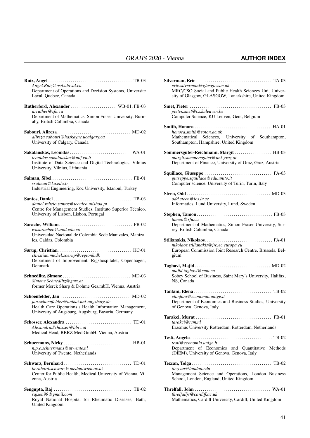| Angel.Ruiz@osd.ulaval.ca                                                                                                                                 |
|----------------------------------------------------------------------------------------------------------------------------------------------------------|
| Department of Operations and Decision Systems, Universite<br>Laval, Quebec, Canada                                                                       |
| Rutherford, Alexander  WB-01, FB-03<br>arruther@sfu.ca<br>Department of Mathematics, Simon Fraser University, Burn-                                      |
| aby, British Columbia, Canada                                                                                                                            |
| alireza.sabouri@haskayne.ucalgary.ca<br>University of Calgary, Canada                                                                                    |
| Sakalauskas, Leonidas WA-01                                                                                                                              |
| leonidas.sakalauskas@mif.vu.lt<br>Institute of Data Science and Digital Technologies, Vilnius<br>University, Vilnius, Lithuania                          |
| ssalman@ku.edu.tr                                                                                                                                        |
| Industrial Engineering, Koc University, Istanbul, Turkey                                                                                                 |
|                                                                                                                                                          |
| daniel.rebelo.santos@tecnico.ulisboa.pt<br>Centre for Management Studies, Instituto Superior Técnico,<br>University of Lisbon, Lisbon, Portugal          |
|                                                                                                                                                          |
| wasarachec@unal.edu.co<br>Universidad Nacional de Colombia Sede Manizales, Maniza-<br>les, Caldas, Colombia                                              |
|                                                                                                                                                          |
| christian.michel.soerup@regionh.dk<br>Department of Improvement, Rigshospitalet, Copenhagen,<br>Denmark                                                  |
|                                                                                                                                                          |
| Simone.Schnedlitz@gmx.at<br>former Merck Sharp & Dohme Ges.mbH, Vienna, Austria                                                                          |
|                                                                                                                                                          |
| jan.schoenfelder@unikat.uni-augsburg.de<br>Health Care Operations / Health Information Management,<br>University of Augsburg, Augsburg, Bavaria, Germany |
|                                                                                                                                                          |
| Alexandra.Schosser@bbrz.at<br>Medical Head, BBRZ Med GmbH, Vienna, Austria                                                                               |
|                                                                                                                                                          |
| n.p.e.schuermans@utwente.nl<br>University of Twente, Netherlands                                                                                         |
|                                                                                                                                                          |
| bernhard.schwarz@meduniwien.ac.at<br>Center for Public Health, Medical University of Vienna, Vi-<br>enna, Austria                                        |
|                                                                                                                                                          |
| rajsen99@gmail.com<br>Royal National Hospital for Rheumatic Diseases, Bath,<br>United Kingdom                                                            |

| eric.silverman@glasgow.ac.uk<br>MRC/CSO Social and Public Health Sciences Uni, Univer-<br>sity of Glasgow, GLASGOW, Lanarkshire, United Kingdom |
|-------------------------------------------------------------------------------------------------------------------------------------------------|
| pieter.smet@cs.kuleuven.be                                                                                                                      |
| Computer Science, KU Leuven, Gent, Belgium                                                                                                      |
| honora.smith@soton.ac.uk<br>Mathematical Sciences, University of Southampton,<br>Southampton, Hampshire, United Kingdom                         |
| Sommersguter-Reichmann, Margit  HB-03<br>margit.sommersguter@uni-graz.at<br>Department of Finance, University of Graz, Graz, Austria            |
| giuseppe.squillace@edu.unito.it<br>Computer science, University of Turin, Turin, Italy                                                          |
| odd.steen@ics.lu.se<br>Informatics, Lund University, Lund, Sweden                                                                               |
| tamon@sfu.ca<br>Department of Mathematics, Simon Fraser University, Sur-<br>rey, British Columbia, Canada                                       |
| nikolaos.stilianakis@jrc.ec.europa.eu<br>European Commission Joint Research Centre, Brussels, Bel-<br>gium                                      |
| majid.taghavi@smu.ca<br>Sobey School of Business, Saint Mary's University, Halifax,<br>NS, Canada                                               |
| etanfani@economia.unige.it<br>Department of Economics and Business Studies, University<br>of Genova, Genova, Italy                              |
| Tarakci, Murat.<br>tarakci@rsm.nl<br>Erasmus University Rotterdam, Rotterdam, Netherlands                                                       |
| testi@economia.unige.it<br>Department of Economics and Quantitative Methods<br>(DIEM), University of Genova, Genova, Italy                      |
| ttez.can@london.edu<br>Management Science and Operations, London Business<br>School, London, England, United Kingdom                            |
| threlfalljs@cardiff.ac.uk<br>Mathematics, Cardiff University, Cardiff, United Kingdom                                                           |

Silverman, Eric . . . . . . . . . . . . . . . . . . . . . . . . . . . . . . . . . . . . . TA-03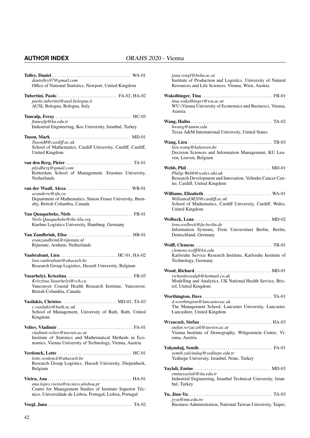| dantolley97@gmail.com<br>Office of National Statistics, Newport, United Kingdom                                                                             |
|-------------------------------------------------------------------------------------------------------------------------------------------------------------|
| Tubertini, Paolo  FA-02, HA-02<br>paolo.tubertini@ausl.bologna.it<br>AUSL Bologna, Bologna, Italy                                                           |
| ftuncalp@ku.edu.tr<br>Industrial Engineering, Koc University, Istanbul, Turkey                                                                              |
| TusonM@cardiff.ac.uk<br>School of Mathematics, Cardiff University, Cardiff, Cardiff,<br><b>United Kingdom</b>                                               |
| pljvdberg@gmail.com<br>Rotterdam School of Management, Erasmus University,<br>Netherlands                                                                   |
| avanderw@sfu.ca<br>Department of Mathematics, Simon Fraser University, Burn-<br>aby, British Columbia, Canada                                               |
| Niels.Quaquebeke@the-klu.org<br>Kuehne Logistics University, Hamburg, Germany                                                                               |
| evanzandbrink@rijnstate.nl<br>Rijnstate, Arnhem, Netherlands                                                                                                |
| lien.vanbrabant@uhasselt.be<br>Research Group Logistics, Hasselt University, Belgium                                                                        |
| Krisztina. Vasarhelyi@vch.ca<br>Vancouver Coastal Health Research Institute, Vancouver,<br>British Columbia, Canada                                         |
| Vasilakis, Christos MD-01, TA-03<br>c.vasilakis@bath.ac.uk<br>School of Management, University of Bath, Bath, United<br>Kingdom                             |
| vladimir.veliov@tuwien.ac.at<br>Institute of Statistics and Mathematical Methods in Eco-<br>nomics, Vienna University of Technology, Vienna, Austria        |
| lotte.verdonck@uhasselt.be<br>Research Group Logistics, Hasselt University, Diepenbeek,<br>Belgium                                                          |
| ana.lopes.vieira@tecnico.ulisboa.pt<br>Centre for Management Studies of Instituto Superior Téc-<br>nico, Universidade de Lisboa, Portugal, Lisboa, Portugal |
|                                                                                                                                                             |

| jana.voegl@boku.ac.at<br>Institute of Production and Logistics, University of Natural<br>Resources and Life Sciences, Vienna, Wien, Austria |
|---------------------------------------------------------------------------------------------------------------------------------------------|
| tina.wakolbinger@wu.ac.at<br>WU (Vienna University of Economics and Business), Vienna,<br>Austria                                           |
| hwang@tamiu.edu<br>Texas A&M International University, United States                                                                        |
| lien.wang@kuleuven.be<br>Decision Sciences and Information Management, KU Leu-<br>ven, Leuven, Belgium                                      |
| Philip. Webb@wales.nhs.uk<br>Research Development and Innovation, Velindre Cancer Cen-<br>tre, Cardiff, United Kingdom                      |
| WilliamsEM20@cardiff.ac.uk<br>School of Mathematics, Cardiff University, Cardiff, Wales,<br>United Kingdom                                  |
| lena.wolbeck@fu-berlin.de<br>Information Systems, Freie Universitaet Berlin, Berlin,<br>Deutschland, Germany                                |
| clemens.wolff@kit.edu<br>Karlsruhe Service Research Institute, Karlsruhe Institute of<br>Technology, Germany                                |
| richardwoodgb@hotmail.co.uk<br>Modelling and Analytics, UK National Health Service, Bris-<br>tol, United Kingdom                            |
| d.worthington@lancaster.ac.uk<br>The Management School, Lancaster University, Lancaster,<br>Lancashire, United Kingdom                      |
| stefan.wrzaczek@tuwien.ac.at<br>Vienna Institute of Demography, Wittgenstein Centre, Vi-<br>enna, Austria                                   |
| semih.yalcindag@yeditepe.edu.tr<br>Yeditepe University, Istanbul, None, Turkey                                                              |
| emineyaylali@itu.edu.tr<br>Industrial Engineering, Istanbul Technical University, Istan-<br>bul, Turkey                                     |
| jyyu@ntu.edu.tw<br>Business Administration, National Taiwan University, Taipei,                                                             |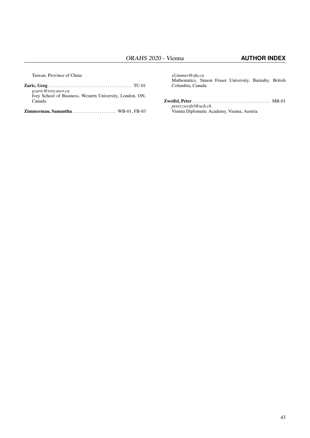Taiwan, Province of China

| gzaric@ivey.uwo.ca                                       |  |  |
|----------------------------------------------------------|--|--|
| Ivey School of Business, Western University, London, ON, |  |  |
| Canada                                                   |  |  |
|                                                          |  |  |

Zimmerman, Samantha . . . . . . . . . . . . . . . . . . WB-01, FB-03

*slzimmer@sfu.ca* Mathematics, Simon Fraser University, Burnaby, British Columbia, Canada

Zweifel, Peter . . . . . . . . . . . . . . . . . . . . . . . . . . . . . . . . . . . . . . MB-01 *peter.zweifel@uzh.ch* Vienna Diplomatic Academy, Vienna, Austria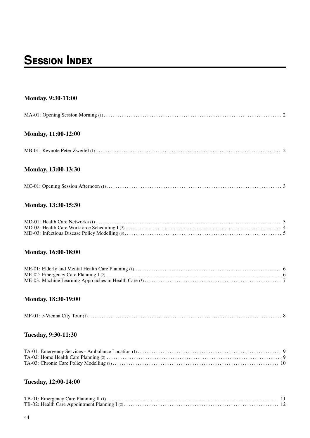# **SESSION INDEX**

### Monday, 9:30-11:00

### Monday, 11:00-12:00

### Monday, 13:00-13:30

### Monday, 13:30-15:30

### Monday, 16:00-18:00

### Monday, 18:30-19:00

|--|--|

### Tuesday, 9:30-11:30

### Tuesday, 12:00-14:00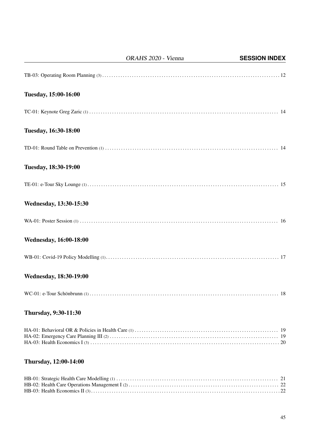|                               | ORAHS 2020 - Vienna | <b>SESSION INDEX</b> |
|-------------------------------|---------------------|----------------------|
|                               |                     |                      |
| Tuesday, 15:00-16:00          |                     |                      |
|                               |                     |                      |
| Tuesday, 16:30-18:00          |                     |                      |
|                               |                     |                      |
| Tuesday, 18:30-19:00          |                     |                      |
|                               |                     |                      |
| <b>Wednesday, 13:30-15:30</b> |                     |                      |
|                               |                     |                      |
| <b>Wednesday, 16:00-18:00</b> |                     |                      |
|                               |                     |                      |
| <b>Wednesday, 18:30-19:00</b> |                     |                      |
|                               |                     |                      |
| <b>Thursday, 9:30-11:30</b>   |                     |                      |
|                               |                     |                      |
| Thursday, 12:00-14:00         |                     |                      |